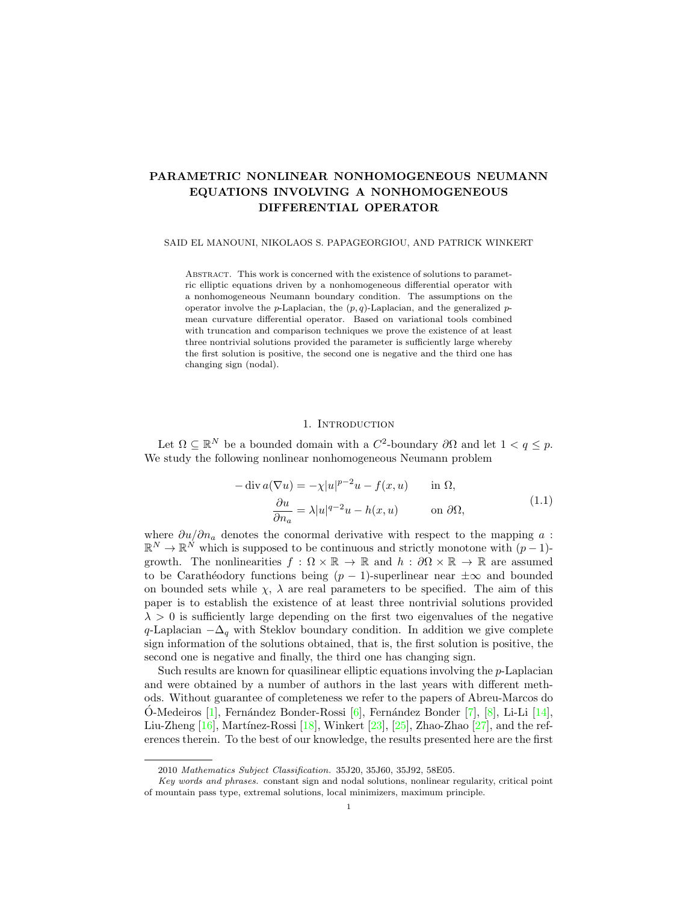# PARAMETRIC NONLINEAR NONHOMOGENEOUS NEUMANN EQUATIONS INVOLVING A NONHOMOGENEOUS DIFFERENTIAL OPERATOR

#### SAID EL MANOUNI, NIKOLAOS S. PAPAGEORGIOU, AND PATRICK WINKERT

ABSTRACT. This work is concerned with the existence of solutions to parametric elliptic equations driven by a nonhomogeneous differential operator with a nonhomogeneous Neumann boundary condition. The assumptions on the operator involve the p-Laplacian, the  $(p, q)$ -Laplacian, and the generalized pmean curvature differential operator. Based on variational tools combined with truncation and comparison techniques we prove the existence of at least three nontrivial solutions provided the parameter is sufficiently large whereby the first solution is positive, the second one is negative and the third one has changing sign (nodal).

#### 1. INTRODUCTION

Let  $\Omega \subseteq \mathbb{R}^N$  be a bounded domain with a  $C^2$ -boundary  $\partial\Omega$  and let  $1 < q \leq p$ . We study the following nonlinear nonhomogeneous Neumann problem

<span id="page-0-0"></span>
$$
-\operatorname{div} a(\nabla u) = -\chi |u|^{p-2}u - f(x, u) \quad \text{in } \Omega,
$$

$$
\frac{\partial u}{\partial n_a} = \lambda |u|^{q-2}u - h(x, u) \quad \text{on } \partial\Omega,
$$
(1.1)

where  $\partial u/\partial n_a$  denotes the conormal derivative with respect to the mapping a :  $\mathbb{R}^N \to \mathbb{R}^N$  which is supposed to be continuous and strictly monotone with  $(p-1)$ growth. The nonlinearities  $f : \Omega \times \mathbb{R} \to \mathbb{R}$  and  $h : \partial \Omega \times \mathbb{R} \to \mathbb{R}$  are assumed to be Carathéodory functions being  $(p - 1)$ -superlinear near  $\pm \infty$  and bounded on bounded sets while  $\chi$ ,  $\lambda$  are real parameters to be specified. The aim of this paper is to establish the existence of at least three nontrivial solutions provided  $\lambda > 0$  is sufficiently large depending on the first two eigenvalues of the negative q-Laplacian  $-\Delta_q$  with Steklov boundary condition. In addition we give complete sign information of the solutions obtained, that is, the first solution is positive, the second one is negative and finally, the third one has changing sign.

Such results are known for quasilinear elliptic equations involving the  $p$ -Laplacian and were obtained by a number of authors in the last years with different methods. Without guarantee of completeness we refer to the papers of Abreu-Marcos do O-Medeiros [[1\]](#page-23-0), Fernández Bonder-Rossi [\[6\]](#page-23-1), Fernández Bonder [\[7\]](#page-23-2), [\[8\]](#page-23-3), Li-Li [\[14\]](#page-23-4), Liu-Zheng  $[16]$ , Martínez-Rossi  $[18]$ , Winkert  $[23]$ ,  $[25]$ , Zhao-Zhao  $[27]$ , and the references therein. To the best of our knowledge, the results presented here are the first

<sup>2010</sup> Mathematics Subject Classification. 35J20, 35J60, 35J92, 58E05.

Key words and phrases. constant sign and nodal solutions, nonlinear regularity, critical point of mountain pass type, extremal solutions, local minimizers, maximum principle.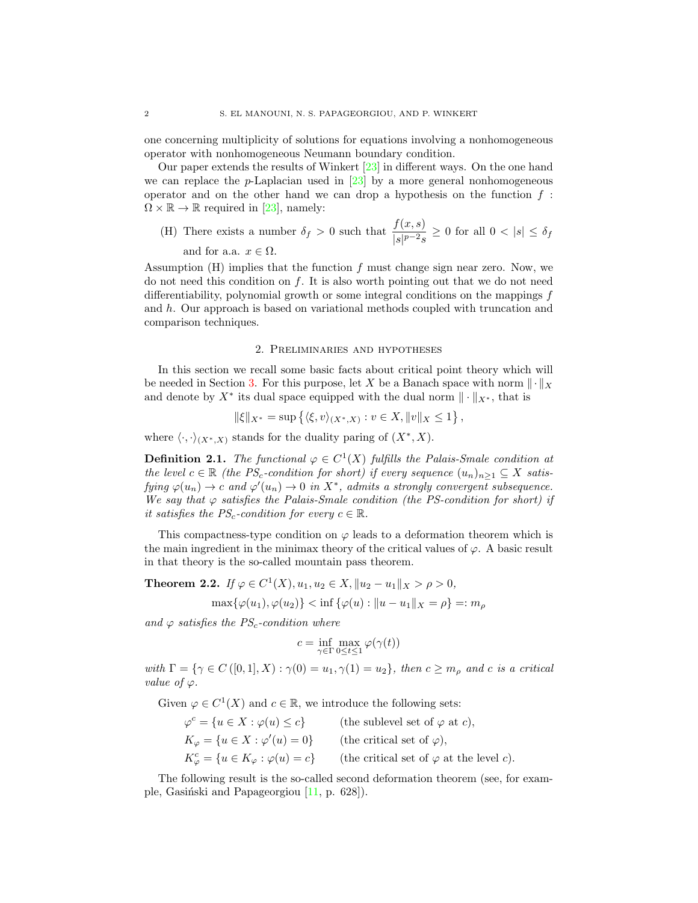one concerning multiplicity of solutions for equations involving a nonhomogeneous operator with nonhomogeneous Neumann boundary condition.

Our paper extends the results of Winkert [\[23\]](#page-23-7) in different ways. On the one hand we can replace the p-Laplacian used in  $[23]$  by a more general nonhomogeneous operator and on the other hand we can drop a hypothesis on the function  $f$ :  $\Omega \times \mathbb{R} \to \mathbb{R}$  required in [\[23\]](#page-23-7), namely:

(H) There exists a number  $\delta_f > 0$  such that  $\frac{f(x, s)}{|s|^{p-2} s} \ge 0$  for all  $0 < |s| \le \delta_f$ and for a.a.  $x \in \Omega$ .

Assumption  $(H)$  implies that the function f must change sign near zero. Now, we do not need this condition on  $f$ . It is also worth pointing out that we do not need differentiability, polynomial growth or some integral conditions on the mappings f and h. Our approach is based on variational methods coupled with truncation and comparison techniques.

### 2. Preliminaries and hypotheses

<span id="page-1-0"></span>In this section we recall some basic facts about critical point theory which will be needed in Section [3.](#page-6-0) For this purpose, let X be a Banach space with norm  $\|\cdot\|_X$ and denote by  $X^*$  its dual space equipped with the dual norm  $\|\cdot\|_{X^*}$ , that is

$$
\|\xi\|_{X^*} = \sup \left\{ \langle \xi, v \rangle_{(X^*, X)} : v \in X, \|v\|_X \le 1 \right\},\
$$

where  $\langle \cdot, \cdot \rangle_{(X^*,X)}$  stands for the duality paring of  $(X^*, X)$ .

**Definition 2.1.** The functional  $\varphi \in C^1(X)$  fulfills the Palais-Smale condition at the level  $c \in \mathbb{R}$  (the PS<sub>c</sub>-condition for short) if every sequence  $(u_n)_{n\geq 1} \subseteq X$  satisfying  $\varphi(u_n) \to c$  and  $\varphi'(u_n) \to 0$  in  $X^*$ , admits a strongly convergent subsequence. We say that  $\varphi$  satisfies the Palais-Smale condition (the PS-condition for short) if it satisfies the  $PS_c$ -condition for every  $c \in \mathbb{R}$ .

This compactness-type condition on  $\varphi$  leads to a deformation theorem which is the main ingredient in the minimax theory of the critical values of  $\varphi$ . A basic result in that theory is the so-called mountain pass theorem.

<span id="page-1-1"></span>**Theorem 2.2.** If  $\varphi \in C^1(X)$ ,  $u_1, u_2 \in X$ ,  $||u_2 - u_1||_X > \rho > 0$ ,

$$
\max\{\varphi(u_1), \varphi(u_2)\} < \inf\{\varphi(u) : \|u - u_1\|_X = \rho\} =: m_\rho
$$

and  $\varphi$  satisfies the PS<sub>c</sub>-condition where

$$
c = \inf_{\gamma \in \Gamma} \max_{0 \leq t \leq 1} \varphi(\gamma(t))
$$

with  $\Gamma = \{ \gamma \in C([0,1], X) : \gamma(0) = u_1, \gamma(1) = u_2 \},\$  then  $c \geq m_\rho$  and c is a critical value of  $\varphi$ .

Given  $\varphi \in C^1(X)$  and  $c \in \mathbb{R}$ , we introduce the following sets:

$$
\varphi^{c} = \{ u \in X : \varphi(u) \le c \}
$$
 (the sublevel set of  $\varphi$  at  $c$ ),  
\n
$$
K_{\varphi} = \{ u \in X : \varphi'(u) = 0 \}
$$
 (the critical set of  $\varphi$ ),  
\n
$$
K_{\varphi}^{c} = \{ u \in K_{\varphi} : \varphi(u) = c \}
$$
 (the critical set of  $\varphi$  at the level  $c$ ).

The following result is the so-called second deformation theorem (see, for example, Gasiński and Papageorgiou  $[11, p. 628]$ .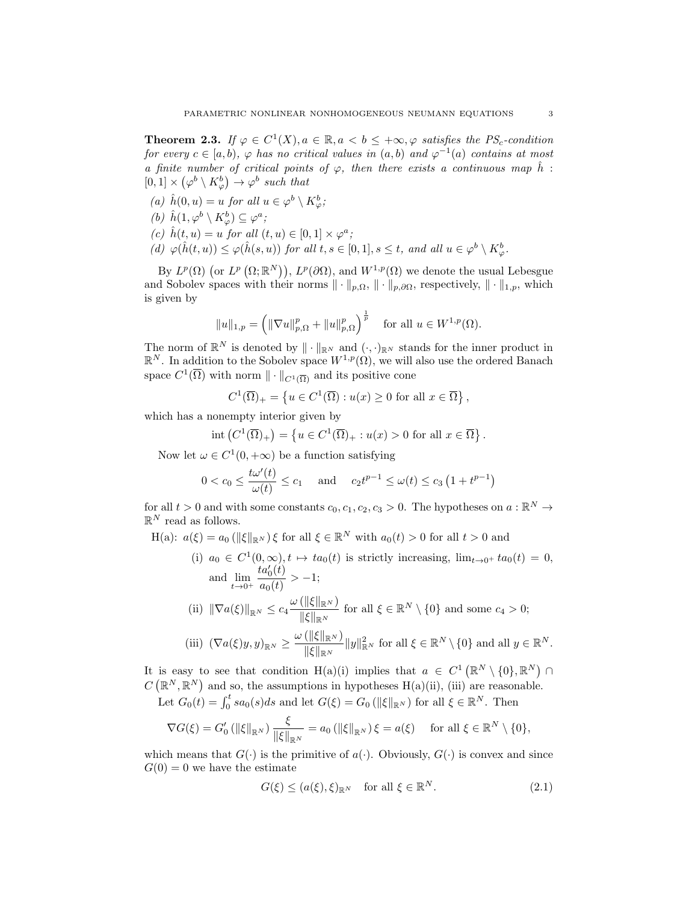<span id="page-2-1"></span>**Theorem 2.3.** If  $\varphi \in C^1(X)$ ,  $a \in \mathbb{R}$ ,  $a < b \leq +\infty$ ,  $\varphi$  satisfies the PS<sub>c</sub>-condition for every  $c \in [a, b)$ ,  $\varphi$  has no critical values in  $(a, b)$  and  $\varphi^{-1}(a)$  contains at most a finite number of critical points of  $\varphi$ , then there exists a continuous map  $\hat{h}$ :  $[0,1] \times (\varphi^b \setminus K_\varphi^b) \to \varphi^b$  such that

(a)  $\hat{h}(0, u) = u$  for all  $u \in \varphi^b \setminus K^b_{\varphi}$ ; (b)  $\hat{h}(1, \varphi^b \setminus K_{\varphi}^b) \subseteq \varphi^a$ ; (c)  $\hat{h}(t, u) = u$  for all  $(t, u) \in [0, 1] \times \varphi^a$ ; (d)  $\varphi(\hat{h}(t, u)) \leq \varphi(\hat{h}(s, u))$  for all  $t, s \in [0, 1], s \leq t$ , and all  $u \in \varphi^b \setminus K^b_{\varphi}$ .

By  $L^p(\Omega)$  (or  $L^p(\Omega;\mathbb{R}^N)$ ),  $L^p(\partial\Omega)$ , and  $W^{1,p}(\Omega)$  we denote the usual Lebesgue and Sobolev spaces with their norms  $\|\cdot\|_{p,\Omega}$ ,  $\|\cdot\|_{p,\partial\Omega}$ , respectively,  $\|\cdot\|_{1,p}$ , which is given by

$$
||u||_{1,p} = (||\nabla u||_{p,\Omega}^p + ||u||_{p,\Omega}^p)^{\frac{1}{p}}
$$
 for all  $u \in W^{1,p}(\Omega)$ .

The norm of  $\mathbb{R}^N$  is denoted by  $\|\cdot\|_{\mathbb{R}^N}$  and  $(\cdot,\cdot)_{\mathbb{R}^N}$  stands for the inner product in  $\mathbb{R}^N$ . In addition to the Sobolev space  $W^{1,p}(\Omega)$ , we will also use the ordered Banach space  $C^1(\overline{\Omega})$  with norm  $\|\cdot\|_{C^1(\overline{\Omega})}$  and its positive cone

$$
C^{1}(\overline{\Omega})_{+} = \left\{ u \in C^{1}(\overline{\Omega}) : u(x) \ge 0 \text{ for all } x \in \overline{\Omega} \right\},\
$$

which has a nonempty interior given by

$$
int (C^1(\overline{\Omega})_+) = \left\{ u \in C^1(\overline{\Omega})_+ : u(x) > 0 \text{ for all } x \in \overline{\Omega} \right\}.
$$

Now let  $\omega \in C^1(0, +\infty)$  be a function satisfying

$$
0 < c_0 \le \frac{t\omega'(t)}{\omega(t)} \le c_1
$$
 and  $c_2t^{p-1} \le \omega(t) \le c_3(1+t^{p-1})$ 

for all  $t > 0$  and with some constants  $c_0, c_1, c_2, c_3 > 0$ . The hypotheses on  $a : \mathbb{R}^N \to$  $\mathbb{R}^N$  read as follows.

H(a):  $a(\xi) = a_0 (\|\xi\|_{\mathbb{R}^N}) \xi$  for all  $\xi \in \mathbb{R}^N$  with  $a_0(t) > 0$  for all  $t > 0$  and

(i) 
$$
a_0 \in C^1(0, \infty), t \mapsto ta_0(t)
$$
 is strictly increasing,  $\lim_{t \to 0^+} ta_0(t) = 0$ ,  
and  $\lim_{t \to 0^+} \frac{ta'_0(t)}{a_0(t)} > -1$ ;  
(ii)  $\|\nabla a(\xi)\|_{\mathbb{R}^N} \le c_4 \frac{\omega (\|\xi\|_{\mathbb{R}^N})}{\|\xi\|_{\mathbb{R}^N}}$  for all  $\xi \in \mathbb{R}^N \setminus \{0\}$  and some  $c_4 > 0$ ;  
(iii)  $(\nabla a(\xi)y, y)_{\mathbb{R}^N} \ge \frac{\omega (\|\xi\|_{\mathbb{R}^N})}{\|\xi\|_{\mathbb{R}^N}} \|y\|_{\mathbb{R}^N}^2$  for all  $\xi \in \mathbb{R}^N \setminus \{0\}$  and all  $y \in \mathbb{R}^N$ .

It is easy to see that condition H(a)(i) implies that  $a \in C^1(\mathbb{R}^N \setminus \{0\}, \mathbb{R}^N)$  $C(\mathbb{R}^N,\mathbb{R}^N)$  and so, the assumptions in hypotheses H(a)(ii), (iii) are reasonable. Let  $G_0(t) = \int_0^t sa_0(s)ds$  and let  $G(\xi) = G_0(\|\xi\|_{\mathbb{R}^N})$  for all  $\xi \in \mathbb{R}^N$ . Then

$$
\nabla G(\xi) = G_0' \left( \|\xi\|_{\mathbb{R}^N} \right) \frac{\xi}{\|\xi\|_{\mathbb{R}^N}} = a_0 \left( \|\xi\|_{\mathbb{R}^N} \right) \xi = a(\xi) \quad \text{ for all } \xi \in \mathbb{R}^N \setminus \{0\},
$$

which means that  $G(\cdot)$  is the primitive of  $a(\cdot)$ . Obviously,  $G(\cdot)$  is convex and since  $G(0) = 0$  we have the estimate

<span id="page-2-0"></span>
$$
G(\xi) \le (a(\xi), \xi)_{\mathbb{R}^N} \quad \text{for all } \xi \in \mathbb{R}^N. \tag{2.1}
$$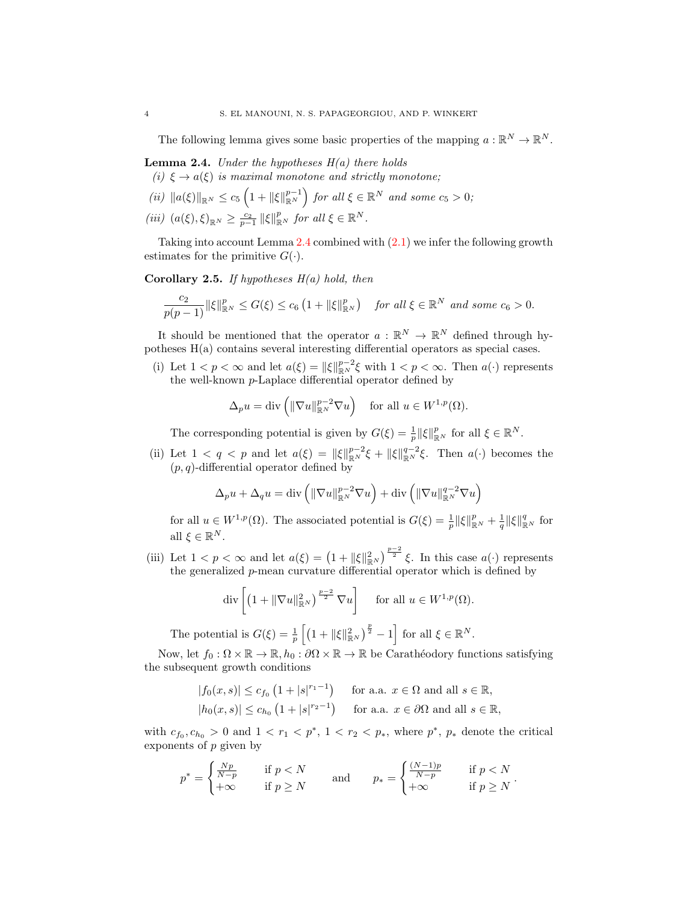The following lemma gives some basic properties of the mapping  $a: \mathbb{R}^N \to \mathbb{R}^N$ .

- <span id="page-3-0"></span>**Lemma 2.4.** Under the hypotheses  $H(a)$  there holds (i)  $\xi \rightarrow a(\xi)$  is maximal monotone and strictly monotone;
- 
- (ii)  $||a(\xi)||_{\mathbb{R}^N} \leq c_5 \left(1 + ||\xi||_{\mathbb{R}^N}^{p-1}\right)$  for all  $\xi \in \mathbb{R}^N$  and some  $c_5 > 0$ ;
- (iii)  $(a(\xi), \xi)_{\mathbb{R}^N} \geq \frac{c_2}{p-1} \|\xi\|_{\mathbb{R}^N}^p$  for all  $\xi \in \mathbb{R}^N$ .

Taking into account Lemma [2.4](#page-3-0) combined with [\(2.1\)](#page-2-0) we infer the following growth estimates for the primitive  $G(\cdot)$ .

**Corollary 2.5.** If hypotheses  $H(a)$  hold, then

$$
\frac{c_2}{p(p-1)}\|\xi\|_{\mathbb{R}^N}^p\leq G(\xi)\leq c_6\left(1+\|\xi\|_{\mathbb{R}^N}^p\right)\quad \text{for all }\xi\in\mathbb{R}^N\text{ and some }c_6>0.
$$

It should be mentioned that the operator  $a: \mathbb{R}^N \to \mathbb{R}^N$  defined through hypotheses H(a) contains several interesting differential operators as special cases.

(i) Let  $1 < p < \infty$  and let  $a(\xi) = ||\xi||_{\mathbb{R}^N}^{p-2}\xi$  with  $1 < p < \infty$ . Then  $a(\cdot)$  represents the well-known p-Laplace differential operator defined by

$$
\Delta_p u = \text{div}\left(\|\nabla u\|_{\mathbb{R}^N}^{p-2} \nabla u\right) \quad \text{for all } u \in W^{1,p}(\Omega).
$$

The corresponding potential is given by  $G(\xi) = \frac{1}{p} ||\xi||_{\mathbb{R}^N}^p$  for all  $\xi \in \mathbb{R}^N$ .

(ii) Let  $1 < q < p$  and let  $a(\xi) = ||\xi||_{\mathbb{R}^N}^{p-2}\xi + ||\xi||_{\mathbb{R}^N}^{q-2}\xi$ . Then  $a(\cdot)$  becomes the  $(p, q)$ -differential operator defined by

$$
\Delta_p u + \Delta_q u = \text{div}\left(\|\nabla u\|_{\mathbb{R}^N}^{p-2} \nabla u\right) + \text{div}\left(\|\nabla u\|_{\mathbb{R}^N}^{q-2} \nabla u\right)
$$

for all  $u \in W^{1,p}(\Omega)$ . The associated potential is  $G(\xi) = \frac{1}{p} ||\xi||_{\mathbb{R}^N}^p + \frac{1}{q} ||\xi||_{\mathbb{R}^N}^q$  for all  $\xi \in \mathbb{R}^N$ .

(iii) Let  $1 < p < \infty$  and let  $a(\xi) = \left(1 + \|\xi\|_{\mathbb{R}^N}^2\right)^{\frac{p-2}{2}} \xi$ . In this case  $a(\cdot)$  represents the generalized p-mean curvature differential operator which is defined by

$$
\operatorname{div}\left[\left(1+\|\nabla u\|_{\mathbb{R}^N}^2\right)^{\frac{p-2}{2}}\nabla u\right] \quad \text{ for all } u \in W^{1,p}(\Omega).
$$

The potential is  $G(\xi) = \frac{1}{p} \left[ \left( 1 + ||\xi||_{\mathbb{R}^N}^2 \right)^{\frac{p}{2}} - 1 \right]$  for all  $\xi \in \mathbb{R}^N$ .

Now, let  $f_0 : \Omega \times \mathbb{R} \to \mathbb{R}$ ,  $h_0 : \partial \Omega \times \mathbb{R} \to \mathbb{R}$  be Carathéodory functions satisfying the subsequent growth conditions

$$
|f_0(x, s)| \le c_{f_0} \left(1 + |s|^{r_1 - 1}\right) \quad \text{for a.a. } x \in \Omega \text{ and all } s \in \mathbb{R},
$$
  

$$
|h_0(x, s)| \le c_{h_0} \left(1 + |s|^{r_2 - 1}\right) \quad \text{for a.a. } x \in \partial\Omega \text{ and all } s \in \mathbb{R},
$$

with  $c_{f_0}, c_{h_0} > 0$  and  $1 < r_1 < p^*$ ,  $1 < r_2 < p_*$ , where  $p^*$ ,  $p_*$  denote the critical exponents of  $p$  given by

$$
p^* = \begin{cases} \frac{Np}{N-p} & \text{if } p < N \\ +\infty & \text{if } p \ge N \end{cases} \qquad \text{and} \qquad p_* = \begin{cases} \frac{(N-1)p}{N-p} & \text{if } p < N \\ +\infty & \text{if } p \ge N \end{cases}.
$$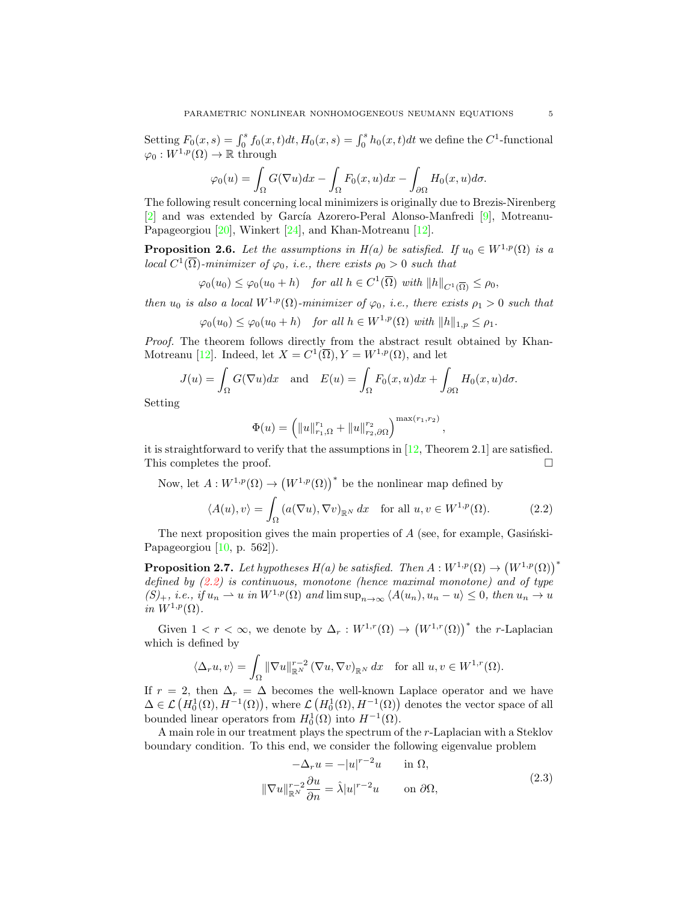Setting  $F_0(x, s) = \int_0^s f_0(x, t)dt$ ,  $H_0(x, s) = \int_0^s h_0(x, t)dt$  we define the  $C^1$ -functional  $\varphi_0:W^{1,p}(\Omega)\to\mathbb{R}$  through

$$
\varphi_0(u) = \int_{\Omega} G(\nabla u) dx - \int_{\Omega} F_0(x, u) dx - \int_{\partial \Omega} H_0(x, u) d\sigma.
$$

The following result concerning local minimizers is originally due to Brezis-Nirenberg [\[2\]](#page-23-10) and was extended by García Azorero-Peral Alonso-Manfredi  $[9]$ , Motreanu-Papageorgiou [\[20\]](#page-23-12), Winkert [\[24\]](#page-23-13), and Khan-Motreanu [\[12\]](#page-23-14).

<span id="page-4-3"></span>**Proposition 2.6.** Let the assumptions in  $H(a)$  be satisfied. If  $u_0 \in W^{1,p}(\Omega)$  is a local  $C^1(\overline{\Omega})$ -minimizer of  $\varphi_0$ , i.e., there exists  $\rho_0 > 0$  such that

$$
\varphi_0(u_0) \le \varphi_0(u_0 + h) \quad \text{for all } h \in C^1(\overline{\Omega}) \text{ with } ||h||_{C^1(\overline{\Omega})} \le \rho_0,
$$

then  $u_0$  is also a local  $W^{1,p}(\Omega)$ -minimizer of  $\varphi_0$ , i.e., there exists  $\rho_1 > 0$  such that

$$
\varphi_0(u_0) \le \varphi_0(u_0 + h) \quad \text{for all } h \in W^{1,p}(\Omega) \text{ with } ||h||_{1,p} \le \rho_1.
$$

Proof. The theorem follows directly from the abstract result obtained by Khan-Motreanu [\[12\]](#page-23-14). Indeed, let  $X = C^1(\overline{\Omega}), Y = W^{1,p}(\Omega)$ , and let

$$
J(u) = \int_{\Omega} G(\nabla u) dx \text{ and } E(u) = \int_{\Omega} F_0(x, u) dx + \int_{\partial \Omega} H_0(x, u) d\sigma.
$$

Setting

$$
\Phi(u) = \left( \|u\|_{r_1,\Omega}^{r_1} + \|u\|_{r_2,\partial\Omega}^{r_2} \right)^{\max(r_1,r_2)}
$$

it is straightforward to verify that the assumptions in  $[12,$  Theorem 2.1] are satisfied. This completes the proof.  $\Box$ 

Now, let  $A: W^{1,p}(\Omega) \to (W^{1,p}(\Omega))^*$  be the nonlinear map defined by

$$
\langle A(u), v \rangle = \int_{\Omega} \left( a(\nabla u), \nabla v \right)_{\mathbb{R}^N} dx \quad \text{for all } u, v \in W^{1, p}(\Omega). \tag{2.2}
$$

<span id="page-4-0"></span>,

The next proposition gives the main properties of  $A$  (see, for example, Gasinski-Papageorgiou  $[10, p. 562]$ .

<span id="page-4-2"></span>**Proposition 2.7.** Let hypotheses  $H(a)$  be satisfied. Then  $A: W^{1,p}(\Omega) \to (W^{1,p}(\Omega))^*$ defined by  $(2.2)$  is continuous, monotone (hence maximal monotone) and of type  $(S)_+$ , i.e., if  $u_n \rightharpoonup u$  in  $W^{1,p}(\Omega)$  and  $\limsup_{n\to\infty} \langle A(u_n), u_n - u \rangle \leq 0$ , then  $u_n \to u$ in  $W^{1,p}(\Omega)$ .

Given  $1 < r < \infty$ , we denote by  $\Delta_r : W^{1,r}(\Omega) \to (W^{1,r}(\Omega))^*$  the *r*-Laplacian which is defined by

$$
\langle \Delta_r u, v \rangle = \int_{\Omega} \|\nabla u\|_{\mathbb{R}^N}^{r-2} (\nabla u, \nabla v)_{\mathbb{R}^N} dx \quad \text{for all } u, v \in W^{1,r}(\Omega).
$$

If  $r = 2$ , then  $\Delta_r = \Delta$  becomes the well-known Laplace operator and we have  $\Delta \in \mathcal{L}\left(H_0^1(\Omega), H^{-1}(\Omega)\right)$ , where  $\mathcal{L}\left(H_0^1(\Omega), H^{-1}(\Omega)\right)$  denotes the vector space of all bounded linear operators from  $H_0^1(\Omega)$  into  $H^{-1}(\Omega)$ .

A main role in our treatment plays the spectrum of the r-Laplacian with a Steklov boundary condition. To this end, we consider the following eigenvalue problem

<span id="page-4-1"></span>
$$
-\Delta_r u = -|u|^{r-2}u \quad \text{in } \Omega,
$$
  

$$
\|\nabla u\|_{\mathbb{R}^N}^{r-2} \frac{\partial u}{\partial n} = \hat{\lambda}|u|^{r-2}u \quad \text{on } \partial\Omega,
$$
 (2.3)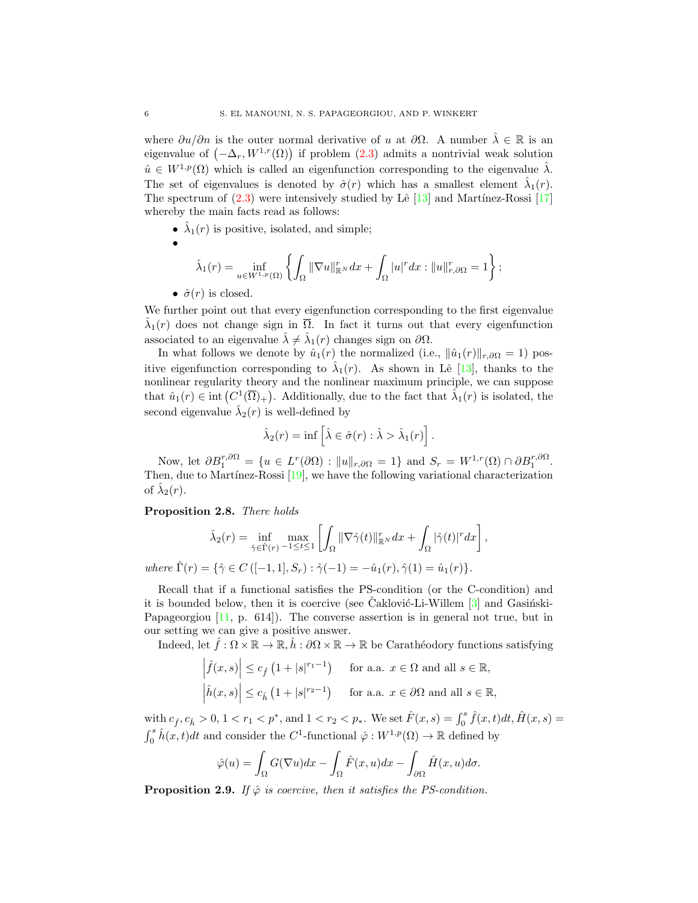where  $\partial u/\partial n$  is the outer normal derivative of u at  $\partial\Omega$ . A number  $\hat{\lambda} \in \mathbb{R}$  is an eigenvalue of  $(-\Delta_r, W^{1,r}(\Omega))$  if problem  $(2.3)$  admits a nontrivial weak solution  $\hat{u} \in W^{1,p}(\Omega)$  which is called an eigenfunction corresponding to the eigenvalue  $\hat{\lambda}$ . The set of eigenvalues is denoted by  $\hat{\sigma}(r)$  which has a smallest element  $\hat{\lambda}_1(r)$ . The spectrum of  $(2.3)$  were intensively studied by Lê [\[13\]](#page-23-16) and Martínez-Rossi [\[17\]](#page-23-17) whereby the main facts read as follows:

- $\hat{\lambda}_1(r)$  is positive, isolated, and simple;
- •

$$
\hat{\lambda}_1(r) = \inf_{u \in W^{1,p}(\Omega)} \left\{ \int_{\Omega} \|\nabla u\|_{\mathbb{R}^N}^r dx + \int_{\Omega} |u|^r dx : \|u\|_{r,\partial\Omega}^r = 1 \right\};
$$

•  $\hat{\sigma}(r)$  is closed.

We further point out that every eigenfunction corresponding to the first eigenvalue  $\hat{\lambda}_1(r)$  does not change sign in  $\overline{\Omega}$ . In fact it turns out that every eigenfunction associated to an eigenvalue  $\hat{\lambda} \neq \hat{\lambda}_1(r)$  changes sign on  $\partial \Omega$ .

In what follows we denote by  $\hat{u}_1(r)$  the normalized (i.e.,  $\|\hat{u}_1(r)\|_{r,\partial\Omega} = 1$ ) positive eigenfunction corresponding to  $\hat{\lambda}_1(r)$ . As shown in Lê [\[13\]](#page-23-16), thanks to the nonlinear regularity theory and the nonlinear maximum principle, we can suppose that  $\hat{u}_1(r) \in \text{int}(C^1(\overline{\Omega})_+)$ . Additionally, due to the fact that  $\hat{\lambda}_1(r)$  is isolated, the second eigenvalue  $\hat{\lambda}_2(r)$  is well-defined by

$$
\hat{\lambda}_2(r) = \inf \left[ \hat{\lambda} \in \hat{\sigma}(r) : \hat{\lambda} > \hat{\lambda}_1(r) \right].
$$

Now, let  $\partial B_1^{r,\partial\Omega} = \{u \in L^r(\partial\Omega) : ||u||_{r,\partial\Omega} = 1\}$  and  $S_r = W^{1,r}(\Omega) \cap \partial B_1^{r,\partial\Omega}$ . Then, due to Martínez-Rossi  $[19]$ , we have the following variational characterization of  $\hat{\lambda}_2(r)$ .

## <span id="page-5-1"></span>Proposition 2.8. There holds

$$
\hat{\lambda}_2(r) = \inf_{\hat{\gamma} \in \hat{\Gamma}(r)} \max_{-1 \le t \le 1} \left[ \int_{\Omega} ||\nabla \hat{\gamma}(t)||^r_{\mathbb{R}^N} dx + \int_{\Omega} |\hat{\gamma}(t)|^r dx \right],
$$

where  $\hat{\Gamma}(r) = \{\hat{\gamma} \in C \left([-1, 1], S_r\right) : \hat{\gamma}(-1) = -\hat{u}_1(r), \hat{\gamma}(1) = \hat{u}_1(r)\}.$ 

Recall that if a functional satisfies the PS-condition (or the C-condition) and it is bounded below, then it is coercive (see Caklović-Li-Willem  $[3]$  $[3]$  and Gasingski-Papageorgiou [\[11,](#page-23-9) p. 614]). The converse assertion is in general not true, but in our setting we can give a positive answer.

Indeed, let  $\hat{f}: \Omega \times \mathbb{R} \to \mathbb{R}, \hat{h}: \partial \Omega \times \mathbb{R} \to \mathbb{R}$  be Carathéodory functions satisfying

$$
\left| \hat{f}(x,s) \right| \le c_{\hat{f}} \left( 1 + |s|^{r_1 - 1} \right) \quad \text{ for a.a. } x \in \Omega \text{ and all } s \in \mathbb{R},
$$
  

$$
\left| \hat{h}(x,s) \right| \le c_{\hat{h}} \left( 1 + |s|^{r_2 - 1} \right) \quad \text{ for a.a. } x \in \partial \Omega \text{ and all } s \in \mathbb{R},
$$

with  $c_{\hat{f}}, c_{\hat{h}} > 0, 1 < r_1 < p^*$ , and  $1 < r_2 < p_*$ . We set  $\hat{F}(x, s) = \int_0^s \hat{f}(x, t) dt$ ,  $\hat{H}(x, s) =$  $\int_0^s \hat{h}(x,t)dt$  and consider the  $C^1$ -functional  $\hat{\varphi}: W^{1,p}(\Omega) \to \mathbb{R}$  defined by

$$
\hat{\varphi}(u) = \int_{\Omega} G(\nabla u) dx - \int_{\Omega} \hat{F}(x, u) dx - \int_{\partial \Omega} \hat{H}(x, u) d\sigma.
$$

<span id="page-5-0"></span>**Proposition 2.9.** If  $\hat{\varphi}$  is coercive, then it satisfies the PS-condition.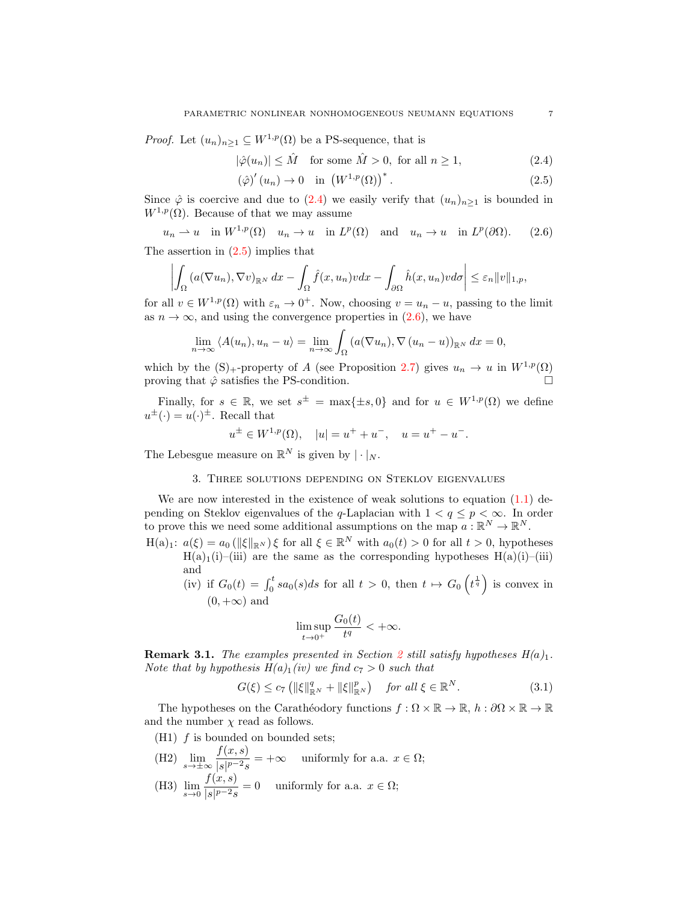*Proof.* Let  $(u_n)_{n\geq 1} \subseteq W^{1,p}(\Omega)$  be a PS-sequence, that is

$$
|\hat{\varphi}(u_n)| \le \hat{M} \quad \text{for some } \hat{M} > 0, \text{ for all } n \ge 1,
$$
\n(2.4)

<span id="page-6-3"></span><span id="page-6-2"></span><span id="page-6-1"></span>
$$
\left(\hat{\varphi}\right)'(u_n) \to 0 \quad \text{in } \left(W^{1,p}(\Omega)\right)^*.
$$
\n
$$
(2.5)
$$

Since  $\hat{\varphi}$  is coercive and due to [\(2.4\)](#page-6-1) we easily verify that  $(u_n)_{n\geq 1}$  is bounded in  $W^{1,p}(\Omega)$ . Because of that we may assume

$$
u_n \rightharpoonup u
$$
 in  $W^{1,p}(\Omega)$   $u_n \to u$  in  $L^p(\Omega)$  and  $u_n \to u$  in  $L^p(\partial\Omega)$ . (2.6)

The assertion in  $(2.5)$  implies that

$$
\left| \int_{\Omega} \left( a(\nabla u_n), \nabla v \right)_{\mathbb{R}^N} dx - \int_{\Omega} \hat{f}(x, u_n) v dx - \int_{\partial \Omega} \hat{h}(x, u_n) v d\sigma \right| \leq \varepsilon_n ||v||_{1,p},
$$

for all  $v \in W^{1,p}(\Omega)$  with  $\varepsilon_n \to 0^+$ . Now, choosing  $v = u_n - u$ , passing to the limit as  $n \to \infty$ , and using the convergence properties in [\(2.6\)](#page-6-3), we have

$$
\lim_{n \to \infty} \langle A(u_n), u_n - u \rangle = \lim_{n \to \infty} \int_{\Omega} \left( a(\nabla u_n), \nabla (u_n - u) \right)_{\mathbb{R}^N} dx = 0,
$$

which by the  $(S)$ <sub>+</sub>-property of A (see Proposition [2.7\)](#page-4-2) gives  $u_n \to u$  in  $W^{1,p}(\Omega)$ proving that  $\hat{\varphi}$  satisfies the PS-condition.

Finally, for  $s \in \mathbb{R}$ , we set  $s^{\pm} = \max\{\pm s, 0\}$  and for  $u \in W^{1,p}(\Omega)$  we define  $u^{\pm}(\cdot) = u(\cdot)^{\pm}$ . Recall that

$$
u^{\pm} \in W^{1,p}(\Omega), \quad |u| = u^{+} + u^{-}, \quad u = u^{+} - u^{-}.
$$

The Lebesgue measure on  $\mathbb{R}^N$  is given by  $|\cdot|_N$ .

# 3. Three solutions depending on Steklov eigenvalues

<span id="page-6-0"></span>We are now interested in the existence of weak solutions to equation  $(1.1)$  depending on Steklov eigenvalues of the q-Laplacian with  $1 < q \leq p < \infty$ . In order to prove this we need some additional assumptions on the map  $a: \mathbb{R}^N \to \mathbb{R}^N$ .

- $H(a)_1: a(\xi) = a_0 (\|\xi\|_{\mathbb{R}^N}) \xi$  for all  $\xi \in \mathbb{R}^N$  with  $a_0(t) > 0$  for all  $t > 0$ , hypotheses  $H(a)_1(i)$ –(iii) are the same as the corresponding hypotheses  $H(a)(i)$ –(iii) and
	- (iv) if  $G_0(t) = \int_0^t sa_0(s)ds$  for all  $t > 0$ , then  $t \mapsto G_0\left(t^{\frac{1}{q}}\right)$  is convex in  $(0, +\infty)$  and

<span id="page-6-5"></span>
$$
\limsup_{t\to 0^+}\frac{G_0(t)}{t^q}<+\infty.
$$

<span id="page-6-4"></span>**Remark 3.1.** The examples presented in Section [2](#page-1-0) still satisfy hypotheses  $H(a)_1$ . Note that by hypothesis  $H(a)_1(iv)$  we find  $c_7 > 0$  such that

$$
G(\xi) \le c_7 \left( \|\xi\|_{\mathbb{R}^N}^q + \|\xi\|_{\mathbb{R}^N}^p \right) \quad \text{for all } \xi \in \mathbb{R}^N. \tag{3.1}
$$

The hypotheses on the Carathéodory functions  $f : \Omega \times \mathbb{R} \to \mathbb{R}$ ,  $h : \partial\Omega \times \mathbb{R} \to \mathbb{R}$ and the number  $\chi$  read as follows.

- $(H1)$  *f* is bounded on bounded sets;
- (H2)  $\lim_{s \to \pm \infty} \frac{f(x, s)}{|s|^{p-2} s}$  $\frac{\int (x, e)^2}{|s|^{p-2}s}$  = + $\infty$  uniformly for a.a.  $x \in \Omega$ ;
- (H3)  $\lim_{s \to 0} \frac{f(x, s)}{|s|^{p-2} s}$  $\frac{\partial f(x, y)}{\partial s} = 0$  uniformly for a.a.  $x \in \Omega$ ;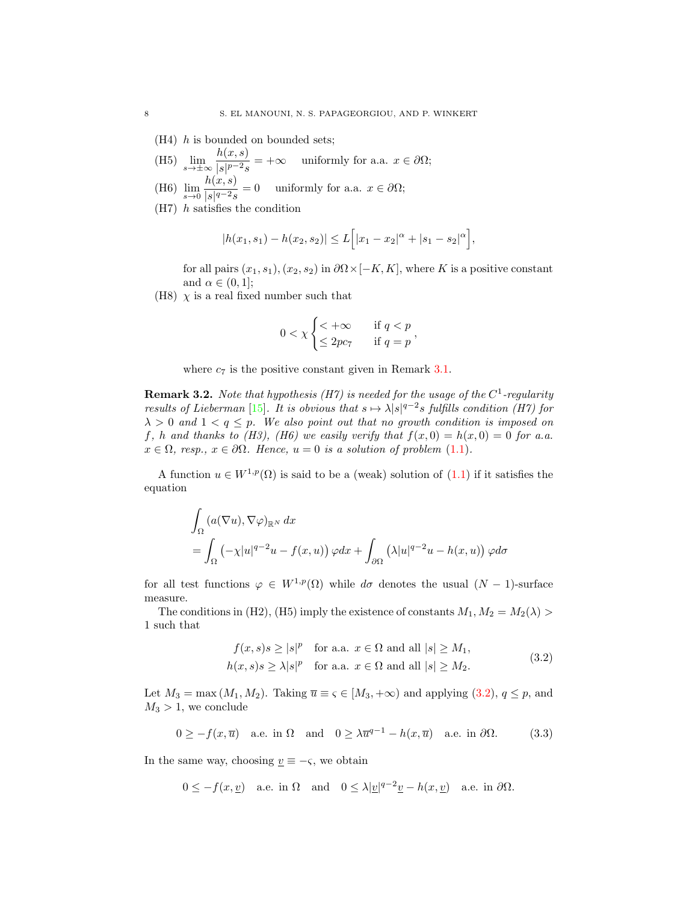- (H4) h is bounded on bounded sets;
- (H5)  $\lim_{s \to \pm \infty} \frac{h(x, s)}{|s|^{p-2} s}$  $\frac{\partial (x, y)}{|s|^{p-2}s}$  = + $\infty$  uniformly for a.a.  $x \in \partial \Omega;$
- (H6)  $\lim_{s \to 0} \frac{h(x, s)}{|s|^{q-2} s}$  $\frac{\partial(x, y)}{|s|^{q-2}s} = 0$  uniformly for a.a.  $x \in \partial\Omega;$
- $(H7)$  *h* satisfies the condition

$$
|h(x_1, s_1) - h(x_2, s_2)| \le L\Big[|x_1 - x_2|^{\alpha} + |s_1 - s_2|^{\alpha}\Big],
$$

for all pairs  $(x_1, s_1), (x_2, s_2)$  in  $\partial\Omega \times [-K, K]$ , where K is a positive constant and  $\alpha \in (0,1]$ ;

(H8)  $\chi$  is a real fixed number such that

$$
0 < \chi \begin{cases} < +\infty & \text{if } q < p \\ \leq 2pc7 & \text{if } q = p \end{cases}
$$

where  $c_7$  is the positive constant given in Remark [3.1.](#page-6-4)

**Remark 3.2.** Note that hypothesis (H7) is needed for the usage of the  $C^1$ -regularity results of Lieberman [\[15\]](#page-23-20). It is obvious that  $s \mapsto \lambda |s|^{q-2} s$  fulfills condition (H7) for  $\lambda > 0$  and  $1 < q \leq p$ . We also point out that no growth condition is imposed on f, h and thanks to (H3), (H6) we easily verify that  $f(x, 0) = h(x, 0) = 0$  for a.a.  $x \in \Omega$ , resp.,  $x \in \partial\Omega$ . Hence,  $u = 0$  is a solution of problem [\(1.1\)](#page-0-0).

A function  $u \in W^{1,p}(\Omega)$  is said to be a (weak) solution of  $(1.1)$  if it satisfies the equation

$$
\int_{\Omega} (a(\nabla u), \nabla \varphi)_{\mathbb{R}^N} dx
$$
\n
$$
= \int_{\Omega} (-\chi |u|^{q-2}u - f(x, u)) \varphi dx + \int_{\partial \Omega} (\lambda |u|^{q-2}u - h(x, u)) \varphi d\sigma
$$

for all test functions  $\varphi \in W^{1,p}(\Omega)$  while  $d\sigma$  denotes the usual  $(N-1)$ -surface measure.

The conditions in (H2), (H5) imply the existence of constants  $M_1, M_2 = M_2(\lambda)$ 1 such that

<span id="page-7-1"></span><span id="page-7-0"></span>
$$
f(x, s)s \ge |s|^p \text{ for a.a. } x \in \Omega \text{ and all } |s| \ge M_1,
$$
  

$$
h(x, s)s \ge \lambda |s|^p \text{ for a.a. } x \in \Omega \text{ and all } |s| \ge M_2.
$$
 (3.2)

Let  $M_3 = \max(M_1, M_2)$ . Taking  $\overline{u} \equiv \varsigma \in [M_3, +\infty)$  and applying  $(3.2), q \leq p$ , and  $M_3 > 1$ , we conclude

$$
0 \ge -f(x,\overline{u}) \quad \text{a.e. in } \Omega \quad \text{and} \quad 0 \ge \lambda \overline{u}^{q-1} - h(x,\overline{u}) \quad \text{a.e. in } \partial\Omega. \tag{3.3}
$$

In the same way, choosing  $\underline{v} \equiv -\varsigma$ , we obtain

$$
0 \le -f(x, \underline{v})
$$
 a.e. in  $\Omega$  and  $0 \le \lambda |\underline{v}|^{q-2} \underline{v} - h(x, \underline{v})$  a.e. in  $\partial \Omega$ .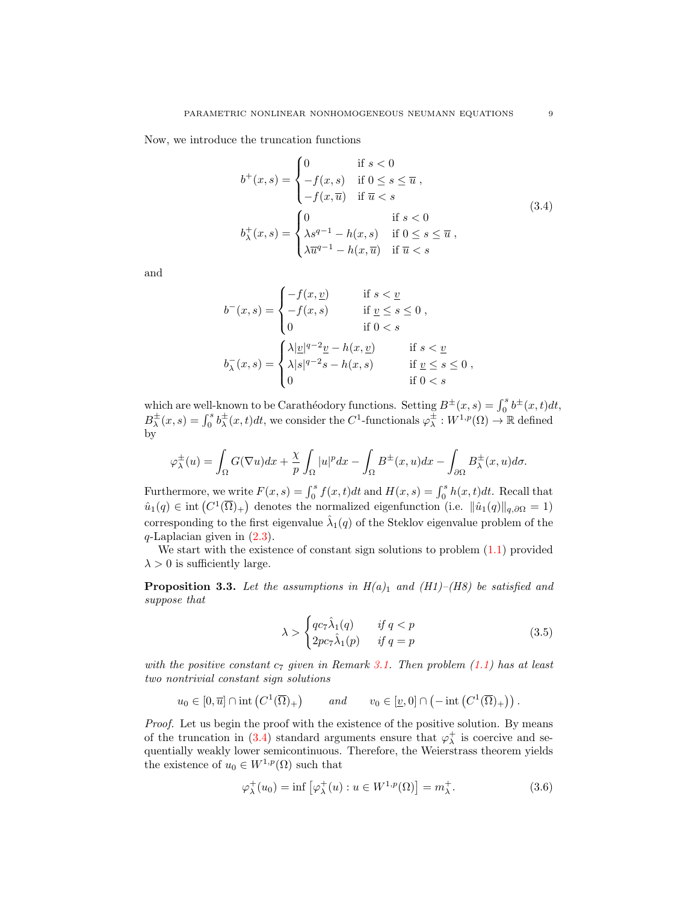Now, we introduce the truncation functions

<span id="page-8-0"></span>
$$
b^{+}(x,s) = \begin{cases} 0 & \text{if } s < 0 \\ -f(x,s) & \text{if } 0 \le s \le \overline{u} , \\ -f(x,\overline{u}) & \text{if } \overline{u} < s \end{cases}
$$
  

$$
b_{\lambda}^{+}(x,s) = \begin{cases} 0 & \text{if } s < 0 \\ \lambda s^{q-1} - h(x,s) & \text{if } 0 \le s \le \overline{u} , \\ \lambda \overline{u}^{q-1} - h(x,\overline{u}) & \text{if } \overline{u} < s \end{cases}
$$
  
(3.4)

and

$$
b^{-}(x,s) = \begin{cases} -f(x,\underline{v}) & \text{if } s < \underline{v} \\ -f(x,s) & \text{if } \underline{v} \le s \le 0 \\ 0 & \text{if } 0 < s \end{cases}
$$
\n
$$
b_{\lambda}^{-}(x,s) = \begin{cases} \lambda |\underline{v}|^{q-2} \underline{v} - h(x,\underline{v}) & \text{if } s < \underline{v} \\ \lambda |s|^{q-2} s - h(x,s) & \text{if } \underline{v} \le s \le 0 \\ 0 & \text{if } 0 < s \end{cases}
$$

which are well-known to be Carathéodory functions. Setting  $B^{\pm}(x, s) = \int_0^s b^{\pm}(x, t) dt$ ,  $B^{\pm}_{\lambda}(x,s) = \int_0^s b^{\pm}_{\lambda}(x,t)dt$ , we consider the C<sup>1</sup>-functionals  $\varphi^{\pm}_{\lambda}: W^{1,p}(\Omega) \to \mathbb{R}$  defined by

$$
\varphi^{\pm}_{\lambda}(u) = \int_{\Omega} G(\nabla u) dx + \frac{\chi}{p} \int_{\Omega} |u|^p dx - \int_{\Omega} B^{\pm}(x, u) dx - \int_{\partial \Omega} B^{\pm}_{\lambda}(x, u) d\sigma.
$$

Furthermore, we write  $F(x, s) = \int_0^s f(x, t)dt$  and  $H(x, s) = \int_0^s h(x, t)dt$ . Recall that  $\hat{u}_1(q) \in \text{int}(C^1(\overline{\Omega})_+)$  denotes the normalized eigenfunction (i.e.  $\|\hat{u}_1(q)\|_{q,\partial\Omega} = 1$ ) corresponding to the first eigenvalue  $\hat{\lambda}_1(q)$  of the Steklov eigenvalue problem of the  $q$ -Laplacian given in  $(2.3)$ .

We start with the existence of constant sign solutions to problem  $(1.1)$  provided  $\lambda > 0$  is sufficiently large.

<span id="page-8-3"></span>**Proposition 3.3.** Let the assumptions in  $H(a)_1$  and  $(H1)$ –(H8) be satisfied and suppose that

<span id="page-8-1"></span>
$$
\lambda > \begin{cases} qc_7\hat{\lambda}_1(q) & \text{if } q < p \\ 2pc_7\hat{\lambda}_1(p) & \text{if } q = p \end{cases}
$$
 (3.5)

with the positive constant  $c_7$  given in Remark [3.1.](#page-6-4) Then problem [\(1.1\)](#page-0-0) has at least two nontrivial constant sign solutions

$$
u_0 \in [0, \overline{u}] \cap \text{int}\left(C^1(\overline{\Omega})_+\right) \qquad \text{and} \qquad v_0 \in [\underline{v}, 0] \cap \left(-\text{int}\left(C^1(\overline{\Omega})_+\right)\right).
$$

Proof. Let us begin the proof with the existence of the positive solution. By means of the truncation in [\(3.4\)](#page-8-0) standard arguments ensure that  $\varphi_{\lambda}^{+}$  is coercive and sequentially weakly lower semicontinuous. Therefore, the Weierstrass theorem yields the existence of  $u_0 \in W^{1,p}(\Omega)$  such that

<span id="page-8-2"></span>
$$
\varphi_{\lambda}^{+}(u_0) = \inf \left[ \varphi_{\lambda}^{+}(u) : u \in W^{1,p}(\Omega) \right] = m_{\lambda}^{+}.
$$
\n(3.6)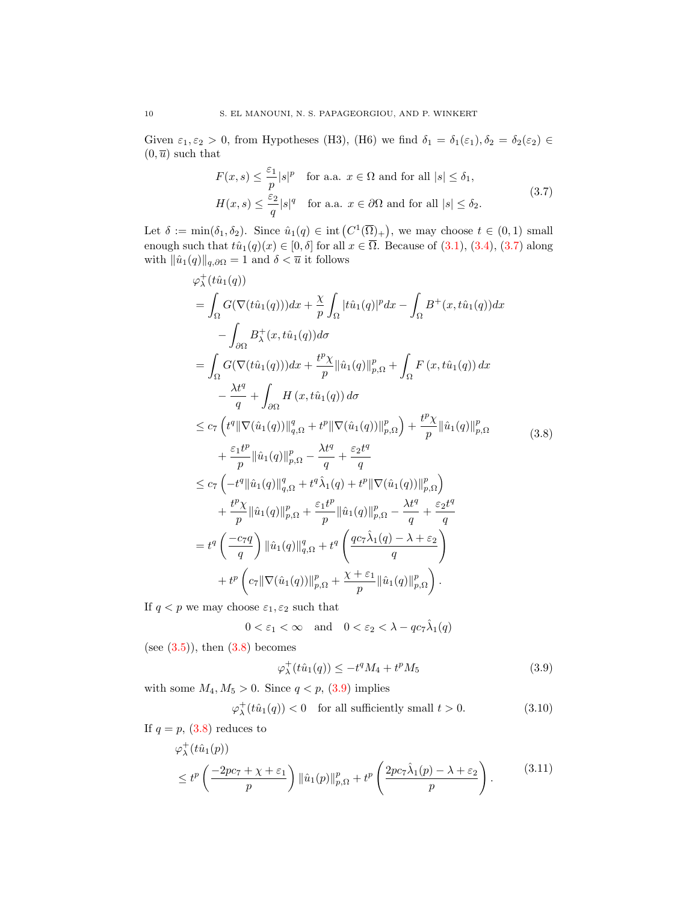Given  $\varepsilon_1, \varepsilon_2 > 0$ , from Hypotheses (H3), (H6) we find  $\delta_1 = \delta_1(\varepsilon_1), \delta_2 = \delta_2(\varepsilon_2) \in$  $(0, \overline{u})$  such that

<span id="page-9-0"></span>
$$
F(x,s) \le \frac{\varepsilon_1}{p}|s|^p \quad \text{for a.a. } x \in \Omega \text{ and for all } |s| \le \delta_1,
$$
  

$$
H(x,s) \le \frac{\varepsilon_2}{q}|s|^q \quad \text{for a.a. } x \in \partial\Omega \text{ and for all } |s| \le \delta_2.
$$
 (3.7)

Let  $\delta := \min(\delta_1, \delta_2)$ . Since  $\hat{u}_1(q) \in \text{int}(C^1(\overline{\Omega})_+)$ , we may choose  $t \in (0, 1)$  small enough such that  $t\hat{u}_1(q)(x) \in [0,\delta]$  for all  $x \in \overline{\Omega}$ . Because of  $(3.1), (3.4), (3.7)$  $(3.1), (3.4), (3.7)$  $(3.1), (3.4), (3.7)$  $(3.1), (3.4), (3.7)$  along with  $\|\hat{u}_1(q)\|_{q,\partial\Omega} = 1$  and  $\delta < \overline{u}$  it follows

$$
\varphi_{\lambda}^{+}(t\hat{u}_{1}(q))
$$
\n
$$
= \int_{\Omega} G(\nabla(t\hat{u}_{1}(q)))dx + \frac{\chi}{p} \int_{\Omega} |t\hat{u}_{1}(q)|^{p} dx - \int_{\Omega} B^{+}(x, t\hat{u}_{1}(q))dx
$$
\n
$$
- \int_{\partial\Omega} B^{+}_{\lambda}(x, t\hat{u}_{1}(q))d\sigma
$$
\n
$$
= \int_{\Omega} G(\nabla(t\hat{u}_{1}(q)))dx + \frac{t^{p}\chi}{p} ||\hat{u}_{1}(q)||_{p,\Omega}^{p} + \int_{\Omega} F(x, t\hat{u}_{1}(q))dx
$$
\n
$$
- \frac{\lambda t^{q}}{q} + \int_{\partial\Omega} H(x, t\hat{u}_{1}(q))d\sigma
$$
\n
$$
\leq c_{7} \left( t^{q} ||\nabla(\hat{u}_{1}(q))||_{q,\Omega}^{q} + t^{p} ||\nabla(\hat{u}_{1}(q))||_{p,\Omega}^{p} \right) + \frac{t^{p}\chi}{p} ||\hat{u}_{1}(q)||_{p,\Omega}^{p}
$$
\n
$$
+ \frac{\varepsilon_{1}t^{p}}{p} ||\hat{u}_{1}(q)||_{p,\Omega}^{q} - \frac{\lambda t^{q}}{q} + \frac{\varepsilon_{2}t^{q}}{q}
$$
\n
$$
\leq c_{7} \left( -t^{q} ||\hat{u}_{1}(q)||_{q,\Omega}^{q} + t^{q}\hat{\lambda}_{1}(q) + t^{p} ||\nabla(\hat{u}_{1}(q))||_{p,\Omega}^{p} \right)
$$
\n
$$
+ \frac{t^{p}\chi}{p} ||\hat{u}_{1}(q)||_{p,\Omega}^{p} + \frac{\varepsilon_{1}t^{p}}{p} ||\hat{u}_{1}(q)||_{p,\Omega}^{p} - \frac{\lambda t^{q}}{q} + \frac{\varepsilon_{2}t^{q}}{q}
$$
\n
$$
= t^{q} \left( \frac{-c_{7}q}{q} \right) ||\hat{u}_{1}(q)||_{q,\Omega}^{q} + t^{q} \left( \frac{qc_{7}\hat{\lambda}_{1}(q) - \lambda + \varepsilon_{2}}{q} \right)
$$
\n
$$
+ t^{p} \left( c_{7} ||\nab
$$

If  $q < p$  we may choose  $\varepsilon_1, \varepsilon_2$  such that

$$
0 < \varepsilon_1 < \infty \quad \text{and} \quad 0 < \varepsilon_2 < \lambda - qc_7\hat{\lambda}_1(q)
$$

(see  $(3.5)$ ), then  $(3.8)$  becomes

<span id="page-9-4"></span><span id="page-9-3"></span><span id="page-9-2"></span><span id="page-9-1"></span>
$$
\varphi_{\lambda}^{+}(t\hat{u}_{1}(q)) \le -t^{q}M_{4} + t^{p}M_{5}
$$
\n(3.9)

with some  $M_4, M_5 > 0$ . Since  $q < p$ , [\(3.9\)](#page-9-2) implies

$$
\varphi^+_{\lambda}(t\hat{u}_1(q)) < 0 \quad \text{for all sufficiently small } t > 0. \tag{3.10}
$$

If 
$$
q = p
$$
, (3.8) reduces to

$$
\varphi_{\lambda}^{+}(t\hat{u}_{1}(p)) \leq t^{p}\left(\frac{-2pc_{7}+\chi+\varepsilon_{1}}{p}\right) \|\hat{u}_{1}(p)\|_{p,\Omega}^{p}+t^{p}\left(\frac{2pc_{7}\hat{\lambda}_{1}(p)-\lambda+\varepsilon_{2}}{p}\right).
$$
 (3.11)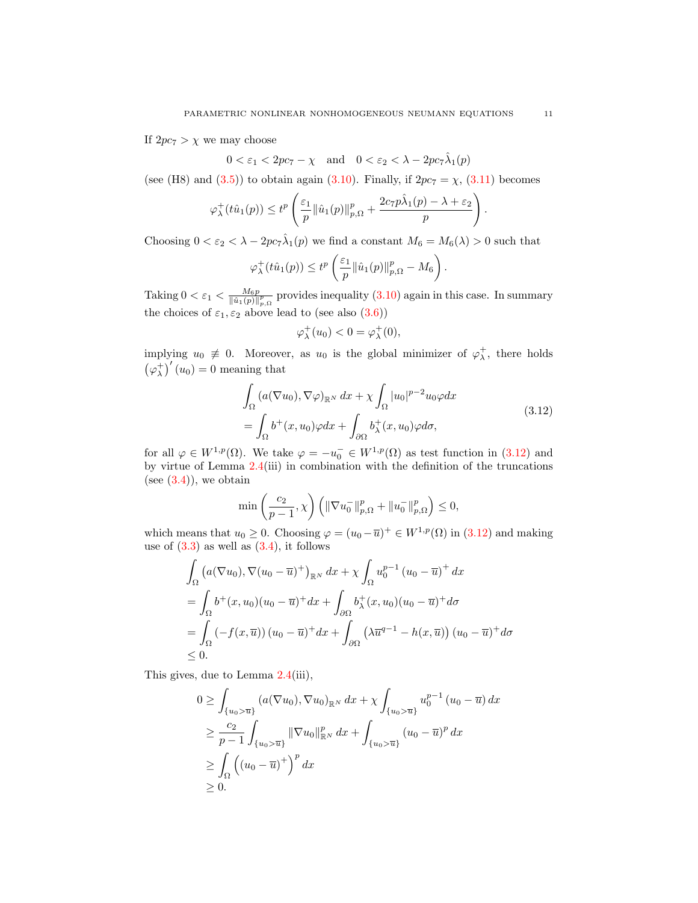If  $2pc_7 > \chi$  we may choose

 $0 < \varepsilon_1 < 2pc_7 - \chi$  and  $0 < \varepsilon_2 < \lambda - 2pc_7\hat{\lambda}_1(p)$ 

(see (H8) and [\(3.5\)](#page-8-1)) to obtain again [\(3.10\)](#page-9-3). Finally, if  $2pc_7 = \chi$ , [\(3.11\)](#page-9-4) becomes

$$
\varphi_{\lambda}^{+}(t\hat{u}_{1}(p)) \leq t^{p} \left( \frac{\varepsilon_{1}}{p} ||\hat{u}_{1}(p)||_{p,\Omega}^{p} + \frac{2c_{7} p\hat{\lambda}_{1}(p) - \lambda + \varepsilon_{2}}{p} \right).
$$

Choosing  $0 < \varepsilon_2 < \lambda - 2pc_7 \hat{\lambda}_1(p)$  we find a constant  $M_6 = M_6(\lambda) > 0$  such that

$$
\varphi_{\lambda}^{+}(t\hat{u}_{1}(p)) \leq t^{p} \left(\frac{\varepsilon_{1}}{p} \|\hat{u}_{1}(p)\|_{p,\Omega}^{p} - M_{6}\right).
$$

Taking  $0 < \varepsilon_1 < \frac{M_6 p}{\|\hat{u}_1(p)\|_{p,\Omega}^p}$  provides inequality  $(3.10)$  again in this case. In summary the choices of  $\varepsilon_1, \varepsilon_2$  above lead to (see also [\(3.6\)](#page-8-2))

<span id="page-10-0"></span>
$$
\varphi_\lambda^+(u_0) < 0 = \varphi_\lambda^+(0),
$$

implying  $u_0 \neq 0$ . Moreover, as  $u_0$  is the global minimizer of  $\varphi_\lambda^+$ , there holds  $(\varphi_{\lambda}^{+})'(u_0) = 0$  meaning that

$$
\int_{\Omega} \left( a(\nabla u_0), \nabla \varphi \right)_{\mathbb{R}^N} dx + \chi \int_{\Omega} |u_0|^{p-2} u_0 \varphi dx
$$
\n
$$
= \int_{\Omega} b^+(x, u_0) \varphi dx + \int_{\partial \Omega} b^+_{\lambda}(x, u_0) \varphi d\sigma,
$$
\n(3.12)

for all  $\varphi \in W^{1,p}(\Omega)$ . We take  $\varphi = -u_0^- \in W^{1,p}(\Omega)$  as test function in  $(3.12)$  and by virtue of Lemma  $2.4$ (iii) in combination with the definition of the truncations (see  $(3.4)$ ), we obtain

$$
\min\left(\frac{c_2}{p-1},\chi\right)\left(\|\nabla u_0^-\|_{p,\Omega}^p + \|u_0^-\|_{p,\Omega}^p\right) \le 0,
$$

which means that  $u_0 \geq 0$ . Choosing  $\varphi = (u_0 - \overline{u})^+ \in W^{1,p}(\Omega)$  in  $(3.12)$  and making use of  $(3.3)$  as well as  $(3.4)$ , it follows

$$
\int_{\Omega} \left( a(\nabla u_0), \nabla (u_0 - \overline{u})^+ \right)_{\mathbb{R}^N} dx + \chi \int_{\Omega} u_0^{p-1} (u_0 - \overline{u})^+ dx
$$
\n
$$
= \int_{\Omega} b^+ (x, u_0) (u_0 - \overline{u})^+ dx + \int_{\partial \Omega} b^+_{\lambda} (x, u_0) (u_0 - \overline{u})^+ d\sigma
$$
\n
$$
= \int_{\Omega} \left( -f(x, \overline{u}) \right) (u_0 - \overline{u})^+ dx + \int_{\partial \Omega} \left( \lambda \overline{u}^{q-1} - h(x, \overline{u}) \right) (u_0 - \overline{u})^+ d\sigma
$$
\n
$$
\leq 0.
$$

This gives, due to Lemma [2.4\(](#page-3-0)iii),

$$
0 \geq \int_{\{u_0 > \overline{u}\}} (a(\nabla u_0), \nabla u_0)_{\mathbb{R}^N} dx + \chi \int_{\{u_0 > \overline{u}\}} u_0^{p-1} (u_0 - \overline{u}) dx
$$
  
\n
$$
\geq \frac{c_2}{p-1} \int_{\{u_0 > \overline{u}\}} ||\nabla u_0||_{\mathbb{R}^N}^p dx + \int_{\{u_0 > \overline{u}\}} (u_0 - \overline{u})^p dx
$$
  
\n
$$
\geq \int_{\Omega} ((u_0 - \overline{u})^+)^p dx
$$
  
\n
$$
\geq 0.
$$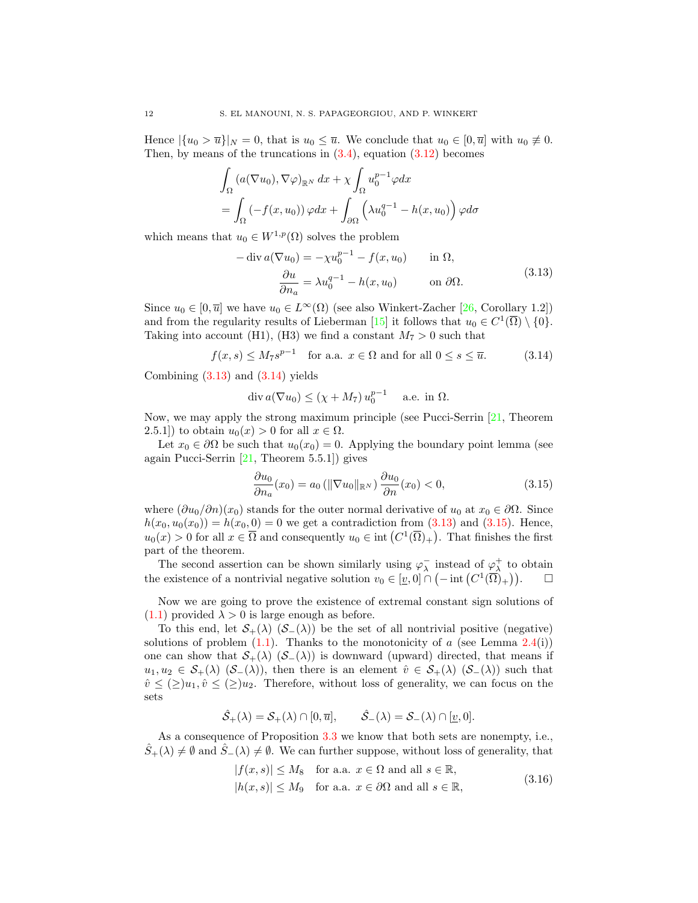Hence  $|\{u_0 > \overline{u}\}|_N = 0$ , that is  $u_0 \leq \overline{u}$ . We conclude that  $u_0 \in [0, \overline{u}]$  with  $u_0 \not\equiv 0$ . Then, by means of the truncations in  $(3.4)$ , equation  $(3.12)$  becomes

$$
\int_{\Omega} \left( a(\nabla u_0), \nabla \varphi \right)_{\mathbb{R}^N} dx + \chi \int_{\Omega} u_0^{p-1} \varphi dx
$$
\n
$$
= \int_{\Omega} \left( -f(x, u_0) \right) \varphi dx + \int_{\partial \Omega} \left( \lambda u_0^{q-1} - h(x, u_0) \right) \varphi d\sigma
$$

which means that  $u_0 \in W^{1,p}(\Omega)$  solves the problem

<span id="page-11-0"></span>
$$
-\operatorname{div} a(\nabla u_0) = -\chi u_0^{p-1} - f(x, u_0) \quad \text{in } \Omega,
$$
  
\n
$$
\frac{\partial u}{\partial n_a} = \lambda u_0^{q-1} - h(x, u_0) \quad \text{on } \partial \Omega.
$$
\n(3.13)

Since  $u_0 \in [0, \overline{u}]$  we have  $u_0 \in L^{\infty}(\Omega)$  (see also Winkert-Zacher [\[26,](#page-23-21) Corollary 1.2]) and from the regularity results of Lieberman [\[15\]](#page-23-20) it follows that  $u_0 \in C^1(\overline{\Omega}) \setminus \{0\}.$ Taking into account (H1), (H3) we find a constant  $M_7 > 0$  such that

$$
f(x,s) \le M_7 s^{p-1} \quad \text{for a.a. } x \in \Omega \text{ and for all } 0 \le s \le \overline{u}. \tag{3.14}
$$

Combining  $(3.13)$  and  $(3.14)$  yields

<span id="page-11-1"></span>
$$
\operatorname{div} a(\nabla u_0) \le (\chi + M_7) u_0^{p-1} \quad \text{a.e. in } \Omega.
$$

Now, we may apply the strong maximum principle (see Pucci-Serrin [\[21,](#page-23-22) Theorem 2.5.1]) to obtain  $u_0(x) > 0$  for all  $x \in \Omega$ .

Let  $x_0 \in \partial \Omega$  be such that  $u_0(x_0) = 0$ . Applying the boundary point lemma (see again Pucci-Serrin [\[21,](#page-23-22) Theorem 5.5.1]) gives

<span id="page-11-2"></span>
$$
\frac{\partial u_0}{\partial n_a}(x_0) = a_0 \left( \|\nabla u_0\|_{\mathbb{R}^N} \right) \frac{\partial u_0}{\partial n}(x_0) < 0,\tag{3.15}
$$

where  $(\partial u_0/\partial n)(x_0)$  stands for the outer normal derivative of  $u_0$  at  $x_0 \in \partial \Omega$ . Since  $h(x_0, u_0(x_0)) = h(x_0, 0) = 0$  we get a contradiction from [\(3.13\)](#page-11-0) and [\(3.15\)](#page-11-2). Hence,  $u_0(x) > 0$  for all  $x \in \overline{\Omega}$  and consequently  $u_0 \in \text{int}(C^1(\overline{\Omega})_+)$ . That finishes the first part of the theorem.

The second assertion can be shown similarly using  $\varphi_{\lambda}^{-}$  instead of  $\varphi_{\lambda}^{+}$  to obtain the existence of a nontrivial negative solution  $v_0 \in [\underline{v},0] \cap (-\text{int} (C^1(\overline{\Omega})_+))$ .  $\Box$ 

Now we are going to prove the existence of extremal constant sign solutions of  $(1.1)$  provided  $\lambda > 0$  is large enough as before.

To this end, let  $S_+(\lambda)$   $(S_-(\lambda))$  be the set of all nontrivial positive (negative) solutions of problem  $(1.1)$ . Thanks to the monotonicity of a (see Lemma [2.4\(](#page-3-0)i)) one can show that  $S_+(\lambda)$   $(S_-(\lambda))$  is downward (upward) directed, that means if  $u_1, u_2 \in \mathcal{S}_+(\lambda)$   $(\mathcal{S}_-(\lambda))$ , then there is an element  $\hat{v} \in \mathcal{S}_+(\lambda)$   $(\mathcal{S}_-(\lambda))$  such that  $\hat{v} \leq (\geq)u_1, \hat{v} \leq (\geq)u_2$ . Therefore, without loss of generality, we can focus on the sets

$$
\hat{\mathcal{S}}_+(\lambda) = \mathcal{S}_+(\lambda) \cap [0,\overline{u}], \qquad \hat{\mathcal{S}}_-(\lambda) = \mathcal{S}_-(\lambda) \cap [\underline{v},0].
$$

As a consequence of Proposition [3.3](#page-8-3) we know that both sets are nonempty, i.e.,  $\hat{S}_+(\lambda) \neq \emptyset$  and  $\hat{S}_-(\lambda) \neq \emptyset$ . We can further suppose, without loss of generality, that

<span id="page-11-3"></span>
$$
|f(x, s)| \le M_8 \quad \text{for a.a. } x \in \Omega \text{ and all } s \in \mathbb{R},
$$
  

$$
|h(x, s)| \le M_9 \quad \text{for a.a. } x \in \partial\Omega \text{ and all } s \in \mathbb{R},
$$
  
(3.16)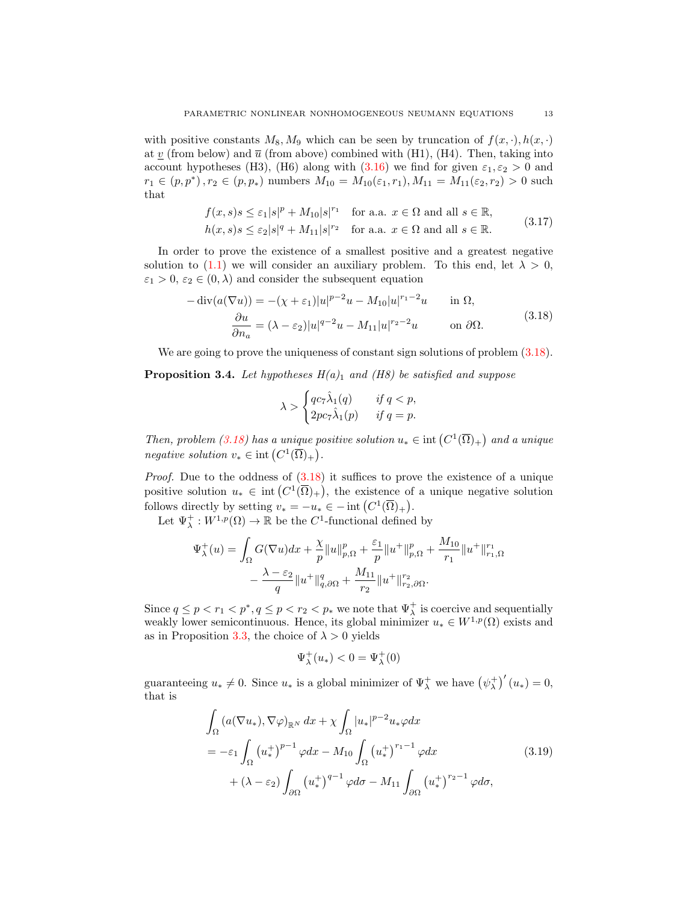with positive constants  $M_8, M_9$  which can be seen by truncation of  $f(x, \cdot), h(x, \cdot)$ at  $\underline{v}$  (from below) and  $\overline{u}$  (from above) combined with (H1), (H4). Then, taking into account hypotheses (H3), (H6) along with [\(3.16\)](#page-11-3) we find for given  $\varepsilon_1, \varepsilon_2 > 0$  and  $r_1 \in (p, p^*)$ ,  $r_2 \in (p, p_*)$  numbers  $M_{10} = M_{10}(\varepsilon_1, r_1), M_{11} = M_{11}(\varepsilon_2, r_2) > 0$  such that

$$
f(x,s)s \leq \varepsilon_1|s|^p + M_{10}|s|^{r_1} \quad \text{for a.a. } x \in \Omega \text{ and all } s \in \mathbb{R},
$$
  

$$
h(x,s)s \leq \varepsilon_2|s|^q + M_{11}|s|^{r_2} \quad \text{for a.a. } x \in \Omega \text{ and all } s \in \mathbb{R}.
$$
 (3.17)

In order to prove the existence of a smallest positive and a greatest negative solution to [\(1.1\)](#page-0-0) we will consider an auxiliary problem. To this end, let  $\lambda > 0$ ,  $\varepsilon_1 > 0$ ,  $\varepsilon_2 \in (0, \lambda)$  and consider the subsequent equation

<span id="page-12-0"></span>
$$
-\operatorname{div}(a(\nabla u)) = -(\chi + \varepsilon_1)|u|^{p-2}u - M_{10}|u|^{r_1-2}u \quad \text{in } \Omega,
$$
  

$$
\frac{\partial u}{\partial n_a} = (\lambda - \varepsilon_2)|u|^{q-2}u - M_{11}|u|^{r_2-2}u \quad \text{on } \partial\Omega.
$$
 (3.18)

We are going to prove the uniqueness of constant sign solutions of problem  $(3.18)$ .

<span id="page-12-3"></span>**Proposition 3.4.** Let hypotheses  $H(a)$ <sub>1</sub> and (H8) be satisfied and suppose

<span id="page-12-2"></span>
$$
\lambda > \begin{cases} qc_7\hat{\lambda}_1(q) & \text{if } q < p, \\ 2pc_7\hat{\lambda}_1(p) & \text{if } q = p. \end{cases}
$$

Then, problem [\(3.18\)](#page-12-0) has a unique positive solution  $u_* \in \text{int}(C^1(\overline{\Omega})_+)$  and a unique *negative solution*  $v_* \in \text{int}(C^1(\overline{\Omega})_+).$ 

*Proof.* Due to the oddness of  $(3.18)$  it suffices to prove the existence of a unique positive solution  $u_* \in \text{int}(C^1(\overline{\Omega})_+)$ , the existence of a unique negative solution follows directly by setting  $v_* = -u_* \in - \text{int} (C^1(\overline{\Omega})_+).$ 

Let  $\Psi^+_{\lambda}:W^{1,p}(\Omega)\to\mathbb{R}$  be the  $C^1$ -functional defined by

$$
\Psi_{\lambda}^{+}(u) = \int_{\Omega} G(\nabla u) dx + \frac{\chi}{p} ||u||_{p,\Omega}^{p} + \frac{\varepsilon_{1}}{p} ||u^{+}||_{p,\Omega}^{p} + \frac{M_{10}}{r_{1}} ||u^{+}||_{r_{1},\Omega}^{r_{1}} -\frac{\lambda - \varepsilon_{2}}{q} ||u^{+}||_{q,\partial\Omega}^{q} + \frac{M_{11}}{r_{2}} ||u^{+}||_{r_{2},\partial\Omega}^{r_{2}}.
$$

Since  $q \le p < r_1 < p^*$ ,  $q \le p < r_2 < p_*$  we note that  $\Psi_\lambda^+$  is coercive and sequentially weakly lower semicontinuous. Hence, its global minimizer  $u_* \in W^{1,p}(\Omega)$  exists and as in Proposition [3.3,](#page-8-3) the choice of  $\lambda > 0$  yields

<span id="page-12-1"></span>
$$
\Psi_\lambda^+(u_*)<0=\Psi_\lambda^+(0)
$$

guaranteeing  $u_* \neq 0$ . Since  $u_*$  is a global minimizer of  $\Psi^+_{\lambda}$  we have  $(\psi^+_{\lambda})'(u_*)=0$ , that is

$$
\int_{\Omega} \left( a(\nabla u_*) , \nabla \varphi \right)_{\mathbb{R}^N} dx + \chi \int_{\Omega} |u_*|^{p-2} u_* \varphi dx
$$
\n
$$
= -\varepsilon_1 \int_{\Omega} \left( u_*^+ \right)^{p-1} \varphi dx - M_{10} \int_{\Omega} \left( u_*^+ \right)^{r_1-1} \varphi dx
$$
\n
$$
+ (\lambda - \varepsilon_2) \int_{\partial \Omega} \left( u_*^+ \right)^{q-1} \varphi d\sigma - M_{11} \int_{\partial \Omega} \left( u_*^+ \right)^{r_2-1} \varphi d\sigma,
$$
\n(3.19)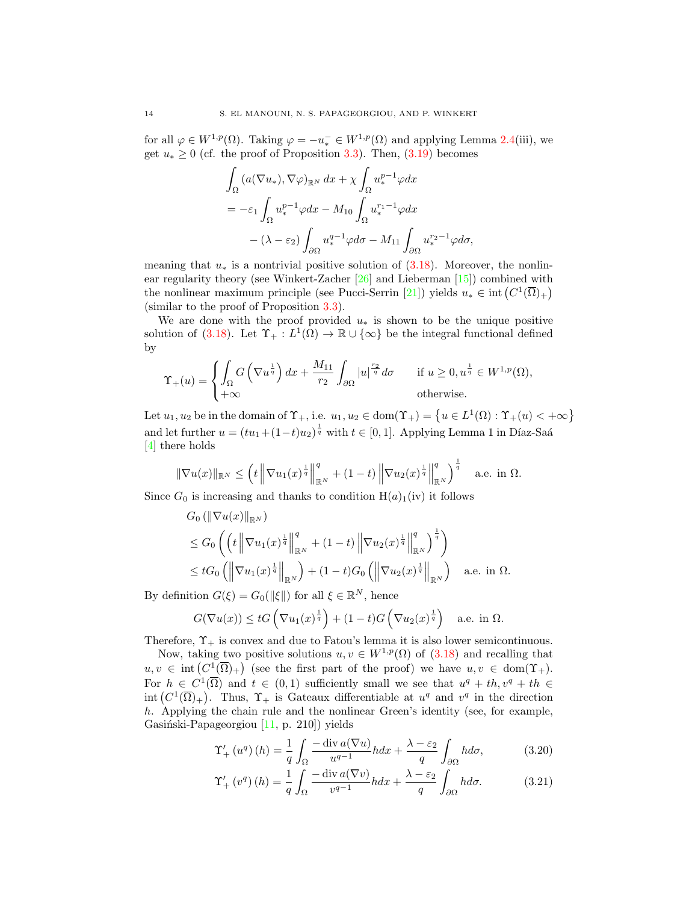for all  $\varphi \in W^{1,p}(\Omega)$ . Taking  $\varphi = -u_*^- \in W^{1,p}(\Omega)$  and applying Lemma [2.4\(](#page-3-0)iii), we get  $u_* \geq 0$  (cf. the proof of Proposition [3.3\)](#page-8-3). Then, [\(3.19\)](#page-12-1) becomes

$$
\int_{\Omega} \left( a(\nabla u_*) , \nabla \varphi \right)_{\mathbb{R}^N} dx + \chi \int_{\Omega} u_*^{p-1} \varphi dx
$$
  
=  $-\varepsilon_1 \int_{\Omega} u_*^{p-1} \varphi dx - M_{10} \int_{\Omega} u_*^{r_1-1} \varphi dx$   
 $-(\lambda - \varepsilon_2) \int_{\partial \Omega} u_*^{q-1} \varphi d\sigma - M_{11} \int_{\partial \Omega} u_*^{r_2-1} \varphi d\sigma,$ 

meaning that  $u_*$  is a nontrivial positive solution of  $(3.18)$ . Moreover, the nonlinear regularity theory (see Winkert-Zacher [\[26\]](#page-23-21) and Lieberman [\[15\]](#page-23-20)) combined with the nonlinear maximum principle (see Pucci-Serrin [\[21\]](#page-23-22)) yields  $u_* \in \text{int}(C^1(\overline{\Omega})_+)$ (similar to the proof of Proposition [3.3\)](#page-8-3).

We are done with the proof provided  $u_*$  is shown to be the unique positive solution of [\(3.18\)](#page-12-0). Let  $\Upsilon_+ : L^1(\Omega) \to \mathbb{R} \cup {\infty}$  be the integral functional defined by

$$
\Upsilon_{+}(u) = \begin{cases} \int_{\Omega} G\left(\nabla u^{\frac{1}{q}}\right) dx + \frac{M_{11}}{r_2} \int_{\partial\Omega} |u|^{\frac{r_2}{q}} d\sigma & \text{if } u \ge 0, u^{\frac{1}{q}} \in W^{1,p}(\Omega), \\ +\infty & \text{otherwise.} \end{cases}
$$

Let  $u_1, u_2$  be in the domain of  $\Upsilon_+$ , i.e.  $u_1, u_2 \in \text{dom}(\Upsilon_+) = \left\{ u \in L^1(\Omega) : \Upsilon_+(u) < +\infty \right\}$ and let further  $u = (tu_1 + (1-t)u_2)^{\frac{1}{q}}$  with  $t \in [0, 1]$ . Applying Lemma 1 in Díaz-Saá [\[4\]](#page-23-23) there holds

$$
\|\nabla u(x)\|_{\mathbb{R}^N} \le \left(t \left\|\nabla u_1(x)^{\frac{1}{q}}\right\|_{\mathbb{R}^N}^q + (1-t) \left\|\nabla u_2(x)^{\frac{1}{q}}\right\|_{\mathbb{R}^N}^q\right)^{\frac{1}{q}} \quad \text{a.e. in } \Omega.
$$

Since  $G_0$  is increasing and thanks to condition  $H(a)_1(iv)$  it follows

$$
G_0 (\|\nabla u(x)\|_{\mathbb{R}^N})
$$
  
\n
$$
\leq G_0 \left( \left( t \left\|\nabla u_1(x)^{\frac{1}{q}} \right\|_{\mathbb{R}^N}^q + (1-t) \left\|\nabla u_2(x)^{\frac{1}{q}} \right\|_{\mathbb{R}^N}^q \right)^{\frac{1}{q}} \right)
$$
  
\n
$$
\leq t G_0 \left( \left\|\nabla u_1(x)^{\frac{1}{q}} \right\|_{\mathbb{R}^N} \right) + (1-t)G_0 \left( \left\|\nabla u_2(x)^{\frac{1}{q}} \right\|_{\mathbb{R}^N} \right) \quad \text{a.e. in } \Omega.
$$

By definition  $G(\xi) = G_0(\|\xi\|)$  for all  $\xi \in \mathbb{R}^N$ , hence

$$
G(\nabla u(x)) \leq tG\left(\nabla u_1(x)^{\frac{1}{q}}\right) + (1-t)G\left(\nabla u_2(x)^{\frac{1}{q}}\right) \quad \text{a.e. in } \Omega.
$$

Therefore,  $\Upsilon_{+}$  is convex and due to Fatou's lemma it is also lower semicontinuous.

Now, taking two positive solutions  $u, v \in W^{1,p}(\Omega)$  of  $(3.18)$  and recalling that  $u, v \in \text{int}(C^1(\overline{\Omega})_+)$  (see the first part of the proof) we have  $u, v \in \text{dom}(\Upsilon_+).$ For  $h \in C^1(\overline{\Omega})$  and  $t \in (0,1)$  sufficiently small we see that  $u^q + th, v^q + th \in$ int  $(C^1(\overline{\Omega})_+)$ . Thus,  $\Upsilon_+$  is Gateaux differentiable at  $u^q$  and  $v^q$  in the direction h. Applying the chain rule and the nonlinear Green's identity (see, for example, Gasiński-Papageorgiou  $[11, p. 210]$ ) yields

<span id="page-13-0"></span>
$$
\Upsilon'_{+}\left(u^{q}\right)(h) = \frac{1}{q} \int_{\Omega} \frac{-\operatorname{div} a(\nabla u)}{u^{q-1}} h dx + \frac{\lambda - \varepsilon_{2}}{q} \int_{\partial \Omega} h d\sigma, \tag{3.20}
$$

<span id="page-13-1"></span>
$$
\Upsilon'_{+}\left(v^{q}\right)(h) = \frac{1}{q} \int_{\Omega} \frac{-\operatorname{div} a(\nabla v)}{v^{q-1}} h dx + \frac{\lambda - \varepsilon_{2}}{q} \int_{\partial \Omega} h d\sigma. \tag{3.21}
$$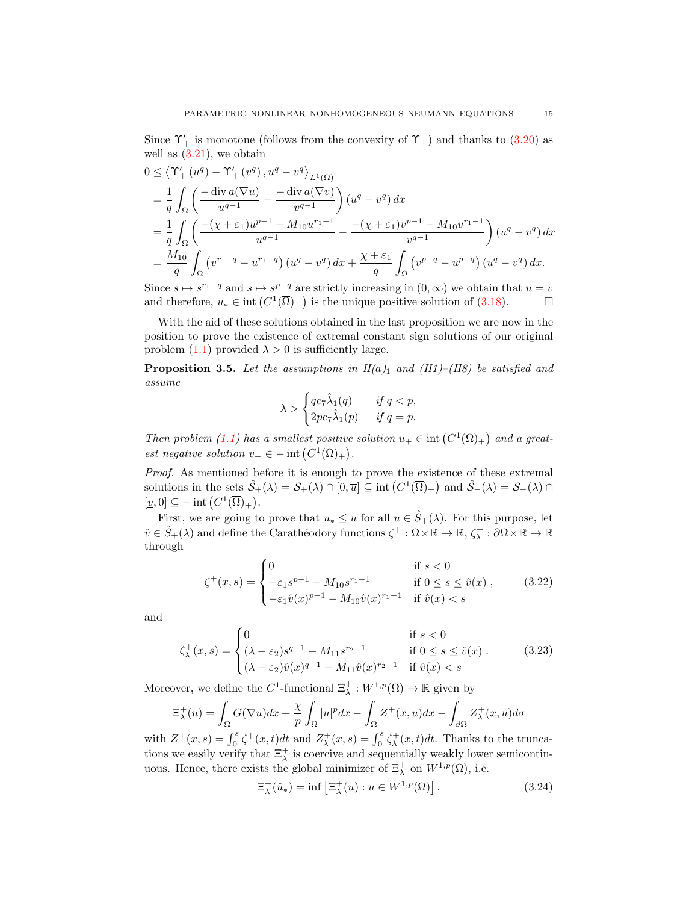Since  $\Upsilon'_{+}$  is monotone (follows from the convexity of  $\Upsilon_{+}$ ) and thanks to [\(3.20\)](#page-13-0) as well as  $(3.21)$ , we obtain

$$
0 \leq \left\langle \Upsilon_{+}'\left(u^{q}\right) - \Upsilon_{+}'\left(v^{q}\right), u^{q} - v^{q}\right\rangle_{L^{1}(\Omega)}
$$
\n
$$
= \frac{1}{q} \int_{\Omega} \left( \frac{-\operatorname{div} a(\nabla u)}{u^{q-1}} - \frac{-\operatorname{div} a(\nabla v)}{v^{q-1}} \right) (u^{q} - v^{q}) dx
$$
\n
$$
= \frac{1}{q} \int_{\Omega} \left( \frac{-(\chi + \varepsilon_{1})u^{p-1} - M_{10}u^{r_{1}-1}}{u^{q-1}} - \frac{-(\chi + \varepsilon_{1})v^{p-1} - M_{10}v^{r_{1}-1}}{v^{q-1}} \right) (u^{q} - v^{q}) dx
$$
\n
$$
= \frac{M_{10}}{q} \int_{\Omega} \left( v^{r_{1}-q} - u^{r_{1}-q} \right) (u^{q} - v^{q}) dx + \frac{\chi + \varepsilon_{1}}{q} \int_{\Omega} \left( v^{p-q} - u^{p-q} \right) (u^{q} - v^{q}) dx.
$$

Since  $s \mapsto s^{r_1-q}$  and  $s \mapsto s^{p-q}$  are strictly increasing in  $(0, \infty)$  we obtain that  $u = v$ and therefore,  $u_* \in \text{int}(C^1(\overline{\Omega})_+)$  is the unique positive solution of [\(3.18\)](#page-12-0).

With the aid of these solutions obtained in the last proposition we are now in the position to prove the existence of extremal constant sign solutions of our original problem [\(1.1\)](#page-0-0) provided  $\lambda > 0$  is sufficiently large.

<span id="page-14-3"></span>**Proposition 3.5.** Let the assumptions in  $H(a)_1$  and  $(H1)$ –(H8) be satisfied and assume

<span id="page-14-1"></span>
$$
\lambda > \begin{cases} qc_7\hat{\lambda}_1(q) & \text{if } q < p, \\ 2pc_7\hat{\lambda}_1(p) & \text{if } q = p. \end{cases}
$$

Then problem [\(1.1\)](#page-0-0) has a smallest positive solution  $u_+ \in \text{int}(C^1(\overline{\Omega})_+)$  and a greatest negative solution  $v_-\in$  - int  $(C^1(\overline{\Omega})_+)$ .

Proof. As mentioned before it is enough to prove the existence of these extremal solutions in the sets  $\hat{S}_+(\lambda) = S_+(\lambda) \cap [0, \overline{u}] \subseteq \text{int}(C^1(\overline{\Omega})_+)$  and  $\hat{S}_-(\lambda) = S_-(\lambda) \cap$  $[\underline{v},0] \subseteq -\text{int}\left(C^1(\overline{\Omega})_+\right).$ 

First, we are going to prove that  $u_* \leq u$  for all  $u \in \hat{S}_+(\lambda)$ . For this purpose, let  $\hat{v} \in \hat{S}_+(\lambda)$  and define the Carathéodory functions  $\zeta^+ : \Omega \times \mathbb{R} \to \mathbb{R}, \zeta^+_\lambda : \partial \Omega \times \mathbb{R} \to \mathbb{R}$ through

$$
\zeta^{+}(x,s) = \begin{cases}\n0 & \text{if } s < 0 \\
-\varepsilon_{1}s^{p-1} - M_{10}s^{r_{1}-1} & \text{if } 0 \le s \le \hat{v}(x) , \\
-\varepsilon_{1}\hat{v}(x)^{p-1} - M_{10}\hat{v}(x)^{r_{1}-1} & \text{if } \hat{v}(x) < s\n\end{cases}
$$
\n(3.22)

and

$$
\zeta_{\lambda}^{+}(x,s) = \begin{cases}\n0 & \text{if } s < 0 \\
(\lambda - \varepsilon_{2})s^{q-1} - M_{11}s^{r_{2}-1} & \text{if } 0 \le s \le \hat{v}(x) . \\
(\lambda - \varepsilon_{2})\hat{v}(x)^{q-1} - M_{11}\hat{v}(x)^{r_{2}-1} & \text{if } \hat{v}(x) < s\n\end{cases}
$$
\n(3.23)

Moreover, we define the  $C^1$ -functional  $\Xi_\lambda^+ : W^{1,p}(\Omega) \to \mathbb{R}$  given by

$$
\Xi_{\lambda}^{+}(u) = \int_{\Omega} G(\nabla u) dx + \frac{\chi}{p} \int_{\Omega} |u|^p dx - \int_{\Omega} Z^{+}(x, u) dx - \int_{\partial \Omega} Z^{+}_{\lambda}(x, u) d\sigma
$$

with  $Z^+(x,s) = \int_0^s \zeta^+(x,t)dt$  and  $Z^+_\lambda(x,s) = \int_0^s \zeta^+_\lambda(x,t)dt$ . Thanks to the truncations we easily verify that  $\Xi_{\lambda}^{+}$  is coercive and sequentially weakly lower semicontinuous. Hence, there exists the global minimizer of  $\Xi_{\lambda}^{+}$  on  $W^{1,p}(\Omega)$ , i.e.

<span id="page-14-2"></span><span id="page-14-0"></span>
$$
\Xi_{\lambda}^{+}(\hat{u}_{*}) = \inf \left[\Xi_{\lambda}^{+}(u) : u \in W^{1,p}(\Omega)\right].
$$
\n(3.24)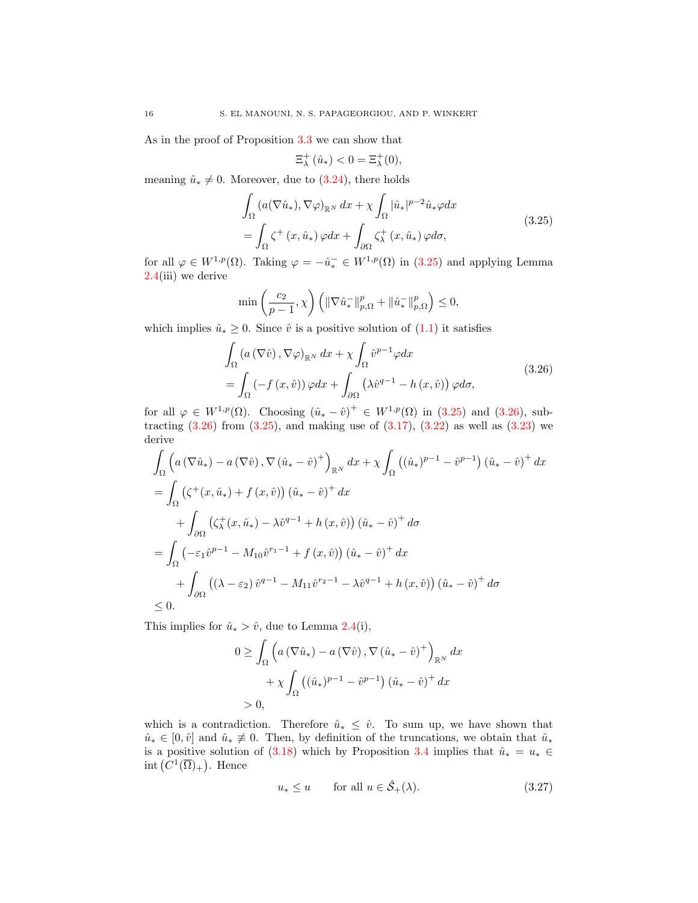As in the proof of Proposition [3.3](#page-8-3) we can show that

<span id="page-15-0"></span>
$$
\Xi_{\lambda}^{+}(\hat{u}_{*})<0=\Xi_{\lambda}^{+}(0),
$$

meaning  $\hat{u}_* \neq 0$ . Moreover, due to [\(3.24\)](#page-14-0), there holds

$$
\int_{\Omega} \left( a(\nabla \hat{u}_*), \nabla \varphi \right)_{\mathbb{R}^N} dx + \chi \int_{\Omega} |\hat{u}_*|^{p-2} \hat{u}_* \varphi dx
$$
\n
$$
= \int_{\Omega} \zeta^+ (x, \hat{u}_*) \varphi dx + \int_{\partial \Omega} \zeta^+_{\lambda} (x, \hat{u}_*) \varphi d\sigma,
$$
\n(3.25)

for all  $\varphi \in W^{1,p}(\Omega)$ . Taking  $\varphi = -\hat{u}_*^- \in W^{1,p}(\Omega)$  in  $(3.25)$  and applying Lemma [2.4\(](#page-3-0)iii) we derive

<span id="page-15-1"></span>
$$
\min\left(\frac{c_2}{p-1},\chi\right)\left(\|\nabla\hat{u}_*^-\|_{p,\Omega}^p+\|\hat{u}_*^-\|_{p,\Omega}^p\right)\leq 0,
$$

which implies  $\hat{u}_* \geq 0$ . Since  $\hat{v}$  is a positive solution of  $(1.1)$  it satisfies

$$
\int_{\Omega} \left( a\left(\nabla \hat{v}\right), \nabla \varphi \right)_{\mathbb{R}^N} dx + \chi \int_{\Omega} \hat{v}^{p-1} \varphi dx
$$
\n
$$
= \int_{\Omega} \left( -f\left(x, \hat{v}\right) \right) \varphi dx + \int_{\partial \Omega} \left( \lambda \hat{v}^{q-1} - h\left(x, \hat{v}\right) \right) \varphi d\sigma,
$$
\n(3.26)

for all  $\varphi \in W^{1,p}(\Omega)$ . Choosing  $(\hat{u}_* - \hat{v})^+ \in W^{1,p}(\Omega)$  in  $(3.25)$  and  $(3.26)$ , subtracting  $(3.26)$  from  $(3.25)$ , and making use of  $(3.17)$ ,  $(3.22)$  as well as  $(3.23)$  we derive

$$
\int_{\Omega} \left( a\left(\nabla \hat{u}_*\right) - a\left(\nabla \hat{v}\right), \nabla \left(\hat{u}_* - \hat{v}\right)^+ \right)_{\mathbb{R}^N} dx + \chi \int_{\Omega} \left( (\hat{u}_*)^{p-1} - \hat{v}^{p-1} \right) \left( \hat{u}_* - \hat{v} \right)^+ dx
$$
\n
$$
= \int_{\Omega} \left( \zeta^+(x, \hat{u}_*) + f(x, \hat{v}) \right) \left( \hat{u}_* - \hat{v} \right)^+ dx
$$
\n
$$
+ \int_{\partial \Omega} \left( \zeta^+(x, \hat{u}_*) - \lambda \hat{v}^{q-1} + h(x, \hat{v}) \right) \left( \hat{u}_* - \hat{v} \right)^+ d\sigma
$$
\n
$$
= \int_{\Omega} \left( -\varepsilon_1 \hat{v}^{p-1} - M_{10} \hat{v}^{r_1-1} + f(x, \hat{v}) \right) \left( \hat{u}_* - \hat{v} \right)^+ dx
$$
\n
$$
+ \int_{\partial \Omega} \left( (\lambda - \varepsilon_2) \hat{v}^{q-1} - M_{11} \hat{v}^{r_2-1} - \lambda \hat{v}^{q-1} + h(x, \hat{v}) \right) \left( \hat{u}_* - \hat{v} \right)^+ d\sigma
$$
\n
$$
\leq 0.
$$

This implies for  $\hat{u}_* > \hat{v}$ , due to Lemma [2.4\(](#page-3-0)i),

$$
0 \geq \int_{\Omega} \left( a \left( \nabla \hat{u}_* \right) - a \left( \nabla \hat{v} \right), \nabla \left( \hat{u}_* - \hat{v} \right)^+ \right)_{\mathbb{R}^N} dx
$$

$$
+ \chi \int_{\Omega} \left( (\hat{u}_*)^{p-1} - \hat{v}^{p-1} \right) (\hat{u}_* - \hat{v})^+ dx
$$

$$
> 0,
$$

which is a contradiction. Therefore  $\hat{u}_* \leq \hat{v}$ . To sum up, we have shown that  $\hat{u}_* \in [0, \hat{v}]$  and  $\hat{u}_* \neq 0$ . Then, by definition of the truncations, we obtain that  $\hat{u}_*$ is a positive solution of [\(3.18\)](#page-12-0) which by Proposition [3.4](#page-12-3) implies that  $\hat{u}_* = u_* \in$ int  $(C^1(\overline{\Omega})_+)$ . Hence

<span id="page-15-2"></span>
$$
u_* \le u \qquad \text{for all } u \in \hat{\mathcal{S}}_+(\lambda). \tag{3.27}
$$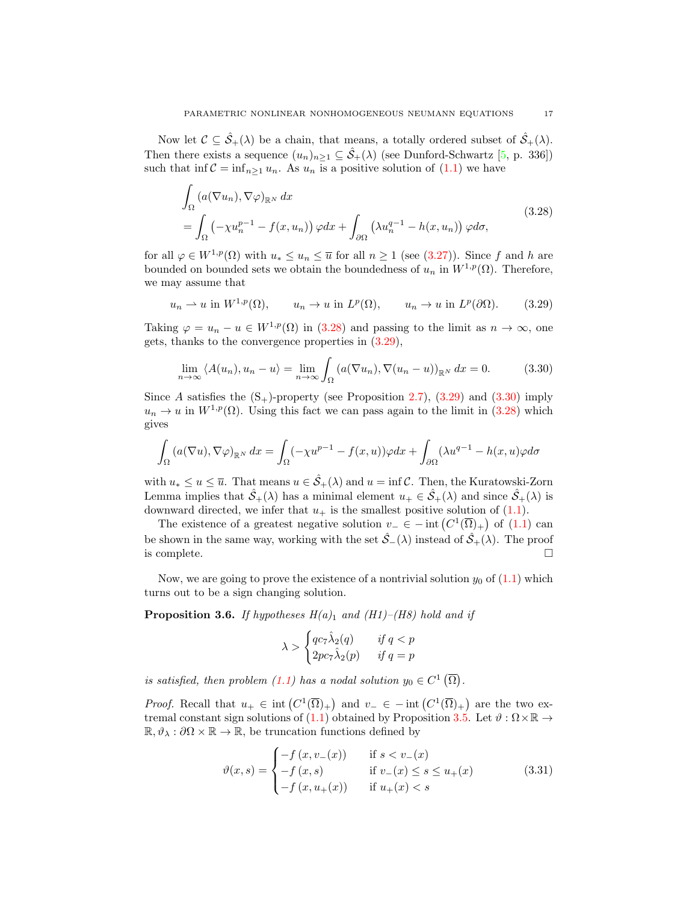Now let  $\mathcal{C} \subseteq \hat{\mathcal{S}}_+(\lambda)$  be a chain, that means, a totally ordered subset of  $\hat{\mathcal{S}}_+(\lambda)$ . Then there exists a sequence  $(u_n)_{n\geq 1} \subseteq \hat{\mathcal{S}}_+(\lambda)$  (see Dunford-Schwartz [\[5,](#page-23-24) p. 336]) such that inf  $C = \inf_{n \geq 1} u_n$ . As  $u_n$  is a positive solution of [\(1.1\)](#page-0-0) we have

<span id="page-16-0"></span>
$$
\int_{\Omega} \left( a(\nabla u_n), \nabla \varphi \right)_{\mathbb{R}^N} dx
$$
\n
$$
= \int_{\Omega} \left( -\chi u_n^{p-1} - f(x, u_n) \right) \varphi dx + \int_{\partial \Omega} \left( \lambda u_n^{q-1} - h(x, u_n) \right) \varphi d\sigma,
$$
\n(3.28)

for all  $\varphi \in W^{1,p}(\Omega)$  with  $u_* \leq u_n \leq \overline{u}$  for all  $n \geq 1$  (see [\(3.27\)](#page-15-2)). Since f and h are bounded on bounded sets we obtain the boundedness of  $u_n$  in  $W^{1,p}(\Omega)$ . Therefore, we may assume that

$$
u_n \rightharpoonup u
$$
 in  $W^{1,p}(\Omega)$ ,  $u_n \rightharpoonup u$  in  $L^p(\Omega)$ ,  $u_n \rightharpoonup u$  in  $L^p(\partial\Omega)$ . (3.29)

Taking  $\varphi = u_n - u \in W^{1,p}(\Omega)$  in [\(3.28\)](#page-16-0) and passing to the limit as  $n \to \infty$ , one gets, thanks to the convergence properties in [\(3.29\)](#page-16-1),

<span id="page-16-2"></span><span id="page-16-1"></span>
$$
\lim_{n \to \infty} \langle A(u_n), u_n - u \rangle = \lim_{n \to \infty} \int_{\Omega} \left( a(\nabla u_n), \nabla (u_n - u) \right)_{\mathbb{R}^N} dx = 0. \tag{3.30}
$$

Since A satisfies the  $(S_+)$ -property (see Proposition [2.7\)](#page-4-2), [\(3.29\)](#page-16-1) and [\(3.30\)](#page-16-2) imply  $u_n \to u$  in  $W^{1,p}(\Omega)$ . Using this fact we can pass again to the limit in [\(3.28\)](#page-16-0) which gives

$$
\int_{\Omega} \left( a(\nabla u), \nabla \varphi \right)_{\mathbb{R}^N} dx = \int_{\Omega} \left( -\chi u^{p-1} - f(x, u) \right) \varphi dx + \int_{\partial \Omega} \left( \lambda u^{q-1} - h(x, u) \varphi d\sigma \right)
$$

with  $u_* \leq u \leq \overline{u}$ . That means  $u \in \mathcal{S}_+(\lambda)$  and  $u = \inf \mathcal{C}$ . Then, the Kuratowski-Zorn Lemma implies that  $\hat{S}_+(\lambda)$  has a minimal element  $u_+ \in \hat{S}_+(\lambda)$  and since  $\hat{S}_+(\lambda)$  is downward directed, we infer that  $u_+$  is the smallest positive solution of [\(1.1\)](#page-0-0).

The existence of a greatest negative solution  $v_-\in$  - int  $(C^1(\overline{\Omega})_+)$  of  $(1.1)$  can be shown in the same way, working with the set  $\hat{S}_-(\lambda)$  instead of  $\hat{S}_+(\lambda)$ . The proof is complete.  $\Box$ 

Now, we are going to prove the existence of a nontrivial solution  $y_0$  of  $(1.1)$  which turns out to be a sign changing solution.

<span id="page-16-4"></span>**Proposition 3.6.** If hypotheses  $H(a)_1$  and (H1)–(H8) hold and if

<span id="page-16-3"></span>
$$
\lambda > \begin{cases} qc_7\hat{\lambda}_2(q) & \text{if } q < p \\ 2pc_7\hat{\lambda}_2(p) & \text{if } q = p \end{cases}
$$

is satisfied, then problem [\(1.1\)](#page-0-0) has a nodal solution  $y_0 \in C^1(\overline{\Omega})$ .

*Proof.* Recall that  $u_+ \in \text{int}(C^1(\overline{\Omega})_+)$  and  $v_- \in - \text{int}(C^1(\overline{\Omega})_+)$  are the two ex-tremal constant sign solutions of [\(1.1\)](#page-0-0) obtained by Proposition [3.5.](#page-14-3) Let  $\vartheta : \Omega \times \mathbb{R} \to$  $\mathbb{R}, \vartheta_{\lambda} : \partial \Omega \times \mathbb{R} \to \mathbb{R}$ , be truncation functions defined by

$$
\vartheta(x,s) = \begin{cases}\n-f(x,v_-(x)) & \text{if } s < v_-(x) \\
-f(x,s) & \text{if } v_-(x) \le s \le u_+(x) \\
-f(x,u_+(x)) & \text{if } u_+(x) < s\n\end{cases}
$$
\n(3.31)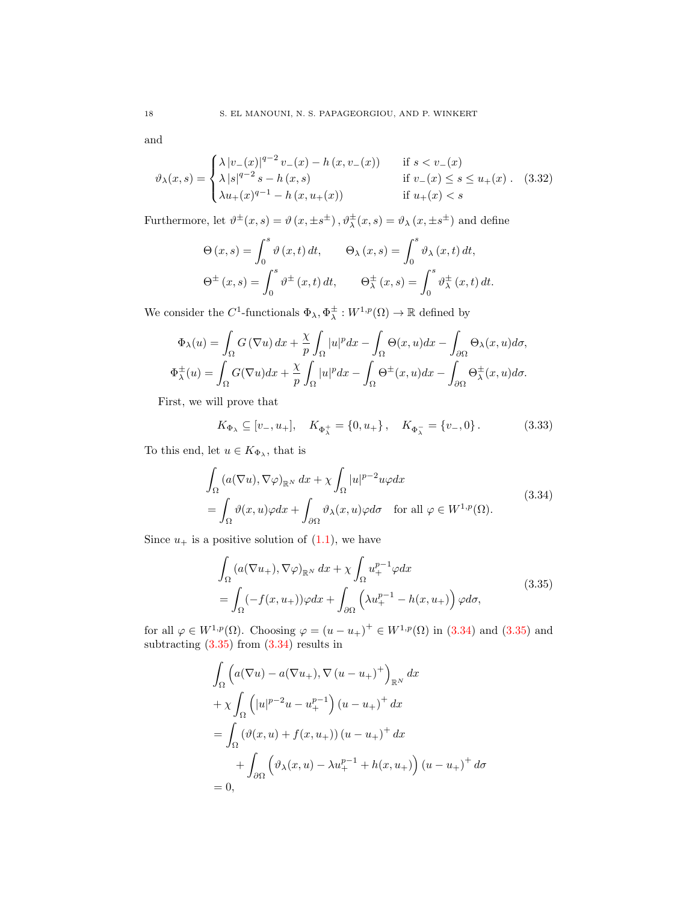and

$$
\vartheta_{\lambda}(x,s) = \begin{cases} \lambda |v_{-}(x)|^{q-2} v_{-}(x) - h(x, v_{-}(x)) & \text{if } s < v_{-}(x) \\ \lambda |s|^{q-2} s - h(x,s) & \text{if } v_{-}(x) \le s \le u_{+}(x) \\ \lambda u_{+}(x)^{q-1} - h(x, u_{+}(x)) & \text{if } u_{+}(x) < s \end{cases}
$$
(3.32)

Furthermore, let  $\vartheta^{\pm}(x,s) = \vartheta(x,\pm s^{\pm}), \vartheta^{\pm}_{\lambda}(x,s) = \vartheta_{\lambda}(x,\pm s^{\pm})$  and define

<span id="page-17-2"></span>
$$
\Theta(x,s) = \int_0^s \vartheta(x,t) dt, \qquad \Theta_\lambda(x,s) = \int_0^s \vartheta_\lambda(x,t) dt,
$$
  

$$
\Theta^\pm(x,s) = \int_0^s \vartheta^\pm(x,t) dt, \qquad \Theta_\lambda^\pm(x,s) = \int_0^s \vartheta_\lambda^\pm(x,t) dt.
$$

We consider the C<sup>1</sup>-functionals  $\Phi_{\lambda}, \Phi_{\lambda}^{\pm} : W^{1,p}(\Omega) \to \mathbb{R}$  defined by

$$
\Phi_{\lambda}(u) = \int_{\Omega} G(\nabla u) dx + \frac{\chi}{p} \int_{\Omega} |u|^p dx - \int_{\Omega} \Theta(x, u) dx - \int_{\partial \Omega} \Theta_{\lambda}(x, u) d\sigma,
$$
  

$$
\Phi_{\lambda}^{\pm}(u) = \int_{\Omega} G(\nabla u) dx + \frac{\chi}{p} \int_{\Omega} |u|^p dx - \int_{\Omega} \Theta^{\pm}(x, u) dx - \int_{\partial \Omega} \Theta^{\pm}_{\lambda}(x, u) d\sigma.
$$

First, we will prove that

<span id="page-17-3"></span><span id="page-17-0"></span>
$$
K_{\Phi_{\lambda}} \subseteq [v_-, u_+], \quad K_{\Phi_{\lambda}^+} = \{0, u_+\}, \quad K_{\Phi_{\lambda}^-} = \{v_-, 0\}.
$$
 (3.33)

To this end, let  $u \in K_{\Phi_{\lambda}}$ , that is

$$
\int_{\Omega} (a(\nabla u), \nabla \varphi)_{\mathbb{R}^N} dx + \chi \int_{\Omega} |u|^{p-2} u \varphi dx
$$
\n
$$
= \int_{\Omega} \vartheta(x, u) \varphi dx + \int_{\partial \Omega} \vartheta_{\lambda}(x, u) \varphi d\sigma \quad \text{for all } \varphi \in W^{1, p}(\Omega). \tag{3.34}
$$

Since  $u_+$  is a positive solution of  $(1.1)$ , we have

<span id="page-17-1"></span>
$$
\int_{\Omega} (a(\nabla u_+), \nabla \varphi)_{\mathbb{R}^N} dx + \chi \int_{\Omega} u_+^{p-1} \varphi dx
$$
\n
$$
= \int_{\Omega} (-f(x, u_+)) \varphi dx + \int_{\partial \Omega} \left( \lambda u_+^{p-1} - h(x, u_+) \right) \varphi d\sigma,
$$
\n(3.35)

for all  $\varphi \in W^{1,p}(\Omega)$ . Choosing  $\varphi = (u - u_+)^+ \in W^{1,p}(\Omega)$  in [\(3.34\)](#page-17-0) and [\(3.35\)](#page-17-1) and subtracting [\(3.35\)](#page-17-1) from [\(3.34\)](#page-17-0) results in

$$
\int_{\Omega} \left( a(\nabla u) - a(\nabla u_+), \nabla (u - u_+)^{+} \right)_{\mathbb{R}^N} dx
$$
  
+ 
$$
\chi \int_{\Omega} \left( |u|^{p-2}u - u_+^{p-1} \right) (u - u_+)^{+} dx
$$
  
= 
$$
\int_{\Omega} (\vartheta(x, u) + f(x, u_+) ) (u - u_+)^{+} dx
$$
  
+ 
$$
\int_{\partial \Omega} \left( \vartheta_{\lambda}(x, u) - \lambda u_+^{p-1} + h(x, u_+) \right) (u - u_+)^{+} d\sigma
$$
  
= 0,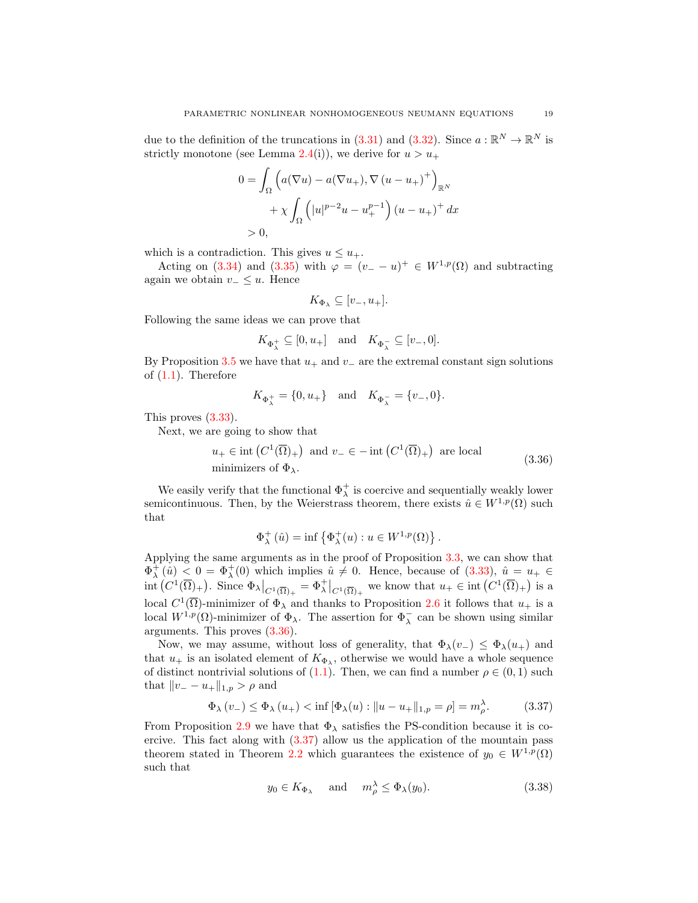due to the definition of the truncations in [\(3.31\)](#page-16-3) and [\(3.32\)](#page-17-2). Since  $a : \mathbb{R}^N \to \mathbb{R}^N$  is strictly monotone (see Lemma [2.4\(](#page-3-0)i)), we derive for  $u > u_+$ 

$$
0 = \int_{\Omega} \left( a(\nabla u) - a(\nabla u_+), \nabla (u - u_+)^{+} \right)_{\mathbb{R}^N}
$$

$$
+ \chi \int_{\Omega} \left( |u|^{p-2}u - u_+^{p-1} \right) (u - u_+)^{+} dx
$$

$$
> 0,
$$

which is a contradiction. This gives  $u \leq u_{+}$ .

Acting on [\(3.34\)](#page-17-0) and [\(3.35\)](#page-17-1) with  $\varphi = (v_- - u)^+ \in W^{1,p}(\Omega)$  and subtracting again we obtain  $v_-\leq u$ . Hence

<span id="page-18-0"></span>
$$
K_{\Phi_{\lambda}} \subseteq [v_-, u_+].
$$

Following the same ideas we can prove that

$$
K_{\Phi^+_\lambda}\subseteq [0,u_+]\quad\text{and}\quad K_{\Phi^-_\lambda}\subseteq [v_-,0].
$$

By Proposition [3.5](#page-14-3) we have that  $u_+$  and  $v_-$  are the extremal constant sign solutions of  $(1.1)$ . Therefore

$$
K_{\Phi_{\lambda}^{+}} = \{0, u_{+}\}\
$$
 and  $K_{\Phi_{\lambda}^{-}} = \{v_{-}, 0\}.$ 

This proves [\(3.33\)](#page-17-3).

Next, we are going to show that

$$
u_+ \in \text{int}\left(C^1(\overline{\Omega})_+\right) \text{ and } v_- \in -\text{int}\left(C^1(\overline{\Omega})_+\right) \text{ are local}
$$
  
minimizers of  $\Phi_{\lambda}$ . (3.36)

We easily verify that the functional  $\Phi_{\lambda}^{+}$  is coercive and sequentially weakly lower semicontinuous. Then, by the Weierstrass theorem, there exists  $\hat{u} \in W^{1,p}(\Omega)$  such that

$$
\Phi_{\lambda}^{+}(\hat{u}) = \inf \left\{ \Phi_{\lambda}^{+}(u) : u \in W^{1,p}(\Omega) \right\}.
$$

Applying the same arguments as in the proof of Proposition [3.3,](#page-8-3) we can show that  $\Phi_{\lambda}^{+}(\hat{u})$  < 0 =  $\Phi_{\lambda}^{+}(0)$  which implies  $\hat{u} \neq 0$ . Hence, because of [\(3.33\)](#page-17-3),  $\hat{u} = u_{+} \in$ int  $(C^1(\overline{\Omega})_+)$ . Since  $\Phi_{\lambda}|_{C^1(\overline{\Omega})_+} = \Phi_{\lambda}^+|_{C^1(\overline{\Omega})_+}$  we know that  $u_+ \in \text{int}(C^1(\overline{\Omega})_+)$  is a local  $C^1(\overline{\Omega})$ -minimizer of  $\Phi_{\lambda}$  and thanks to Proposition [2.6](#page-4-3) it follows that  $u_+$  is a local  $W^{1,p}(\Omega)$ -minimizer of  $\Phi_{\lambda}$ . The assertion for  $\Phi_{\lambda}^-$  can be shown using similar arguments. This proves [\(3.36\)](#page-18-0).

Now, we may assume, without loss of generality, that  $\Phi_{\lambda}(v_{-}) \leq \Phi_{\lambda}(u_{+})$  and that  $u_+$  is an isolated element of  $K_{\Phi_{\lambda}}$ , otherwise we would have a whole sequence of distinct nontrivial solutions of [\(1.1\)](#page-0-0). Then, we can find a number  $\rho \in (0,1)$  such that  $||v_ - - u_+||_{1,p} > \rho$  and

$$
\Phi_{\lambda}(v_{-}) \leq \Phi_{\lambda}(u_{+}) < \inf [\Phi_{\lambda}(u) : ||u - u_{+}||_{1,p} = \rho] = m_{\rho}^{\lambda}.
$$
 (3.37)

From Proposition [2.9](#page-5-0) we have that  $\Phi_{\lambda}$  satisfies the PS-condition because it is coercive. This fact along with [\(3.37\)](#page-18-1) allow us the application of the mountain pass theorem stated in Theorem [2.2](#page-1-1) which guarantees the existence of  $y_0 \in W^{1,p}(\Omega)$ such that

<span id="page-18-2"></span><span id="page-18-1"></span>
$$
y_0 \in K_{\Phi_\lambda}
$$
 and  $m_\rho^\lambda \le \Phi_\lambda(y_0).$  (3.38)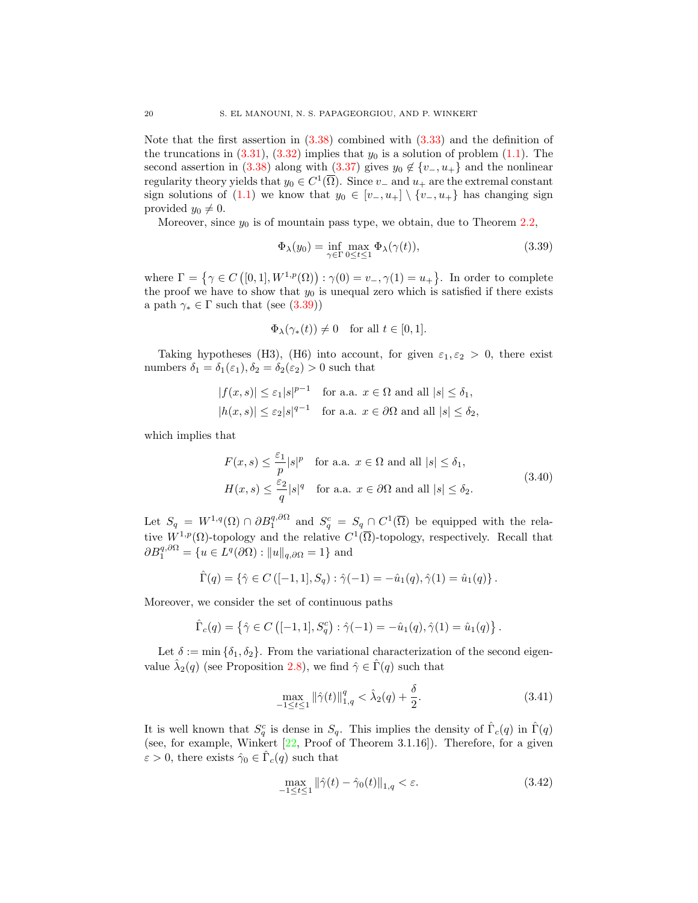Note that the first assertion in [\(3.38\)](#page-18-2) combined with [\(3.33\)](#page-17-3) and the definition of the truncations in  $(3.31)$ ,  $(3.32)$  implies that  $y_0$  is a solution of problem  $(1.1)$ . The second assertion in [\(3.38\)](#page-18-2) along with [\(3.37\)](#page-18-1) gives  $y_0 \notin \{v_-, u_+\}$  and the nonlinear regularity theory yields that  $y_0 \in C^1(\overline{\Omega})$ . Since  $v_-\$  and  $u_+$  are the extremal constant sign solutions of [\(1.1\)](#page-0-0) we know that  $y_0 \in [v_-, u_+] \setminus \{v_-, u_+\}$  has changing sign provided  $y_0 \neq 0$ .

Moreover, since  $y_0$  is of mountain pass type, we obtain, due to Theorem [2.2,](#page-1-1)

<span id="page-19-0"></span>
$$
\Phi_{\lambda}(y_0) = \inf_{\gamma \in \Gamma} \max_{0 \le t \le 1} \Phi_{\lambda}(\gamma(t)),\tag{3.39}
$$

where  $\Gamma = \{ \gamma \in C([0,1], W^{1,p}(\Omega)) : \gamma(0) = v_-, \gamma(1) = u_+ \}.$  In order to complete the proof we have to show that  $y_0$  is unequal zero which is satisfied if there exists a path  $\gamma_* \in \Gamma$  such that (see [\(3.39\)](#page-19-0))

<span id="page-19-3"></span>
$$
\Phi_{\lambda}(\gamma_*(t)) \neq 0
$$
 for all  $t \in [0,1]$ .

Taking hypotheses (H3), (H6) into account, for given  $\varepsilon_1, \varepsilon_2 > 0$ , there exist numbers  $\delta_1 = \delta_1(\varepsilon_1), \delta_2 = \delta_2(\varepsilon_2) > 0$  such that

$$
|f(x,s)| \le \varepsilon_1 |s|^{p-1} \quad \text{for a.a. } x \in \Omega \text{ and all } |s| \le \delta_1,
$$
  

$$
|h(x,s)| \le \varepsilon_2 |s|^{q-1} \quad \text{for a.a. } x \in \partial\Omega \text{ and all } |s| \le \delta_2,
$$

which implies that

$$
F(x,s) \le \frac{\varepsilon_1}{p} |s|^p \quad \text{for a.a. } x \in \Omega \text{ and all } |s| \le \delta_1,
$$
  

$$
H(x,s) \le \frac{\varepsilon_2}{q} |s|^q \quad \text{for a.a. } x \in \partial\Omega \text{ and all } |s| \le \delta_2.
$$
 (3.40)

Let  $S_q = W^{1,q}(\Omega) \cap \partial B_1^{q,\partial\Omega}$  and  $S_q^c = S_q \cap C^1(\overline{\Omega})$  be equipped with the relative  $W^{1,p}(\Omega)$ -topology and the relative  $C^1(\overline{\Omega})$ -topology, respectively. Recall that  $\partial B_1^{q, \partial \Omega} = \{ u \in L^q(\partial \Omega) : ||u||_{q, \partial \Omega} = 1 \}$  and

$$
\hat{\Gamma}(q) = \{ \hat{\gamma} \in C \left( [-1, 1], S_q \right) : \hat{\gamma}(-1) = -\hat{u}_1(q), \hat{\gamma}(1) = \hat{u}_1(q) \}.
$$

Moreover, we consider the set of continuous paths

$$
\hat{\Gamma}_c(q) = \left\{ \hat{\gamma} \in C \left( [-1, 1], S_q^c \right) : \hat{\gamma}(-1) = -\hat{u}_1(q), \hat{\gamma}(1) = \hat{u}_1(q) \right\}.
$$

Let  $\delta := \min \{\delta_1, \delta_2\}$ . From the variational characterization of the second eigenvalue  $\hat{\lambda}_2(q)$  (see Proposition [2.8\)](#page-5-1), we find  $\hat{\gamma} \in \hat{\Gamma}(q)$  such that

<span id="page-19-1"></span>
$$
\max_{-1 \le t \le 1} \|\hat{\gamma}(t)\|_{1,q}^q < \hat{\lambda}_2(q) + \frac{\delta}{2}.\tag{3.41}
$$

It is well known that  $S_q^c$  is dense in  $S_q$ . This implies the density of  $\hat{\Gamma}_c(q)$  in  $\hat{\Gamma}(q)$ (see, for example, Winkert  $[22,$  Proof of Theorem 3.1.16]). Therefore, for a given  $\varepsilon > 0$ , there exists  $\hat{\gamma}_0 \in \hat{\Gamma}_c(q)$  such that

<span id="page-19-2"></span>
$$
\max_{-1 \le t \le 1} \|\hat{\gamma}(t) - \hat{\gamma}_0(t)\|_{1,q} < \varepsilon. \tag{3.42}
$$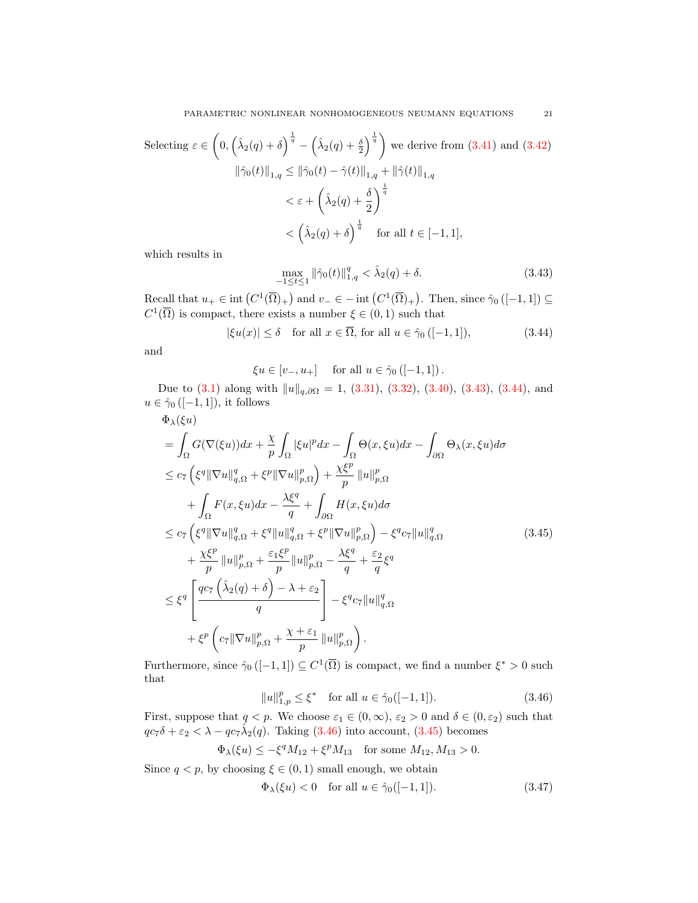Selecting 
$$
\varepsilon \in \left(0, \left(\hat{\lambda}_2(q) + \delta\right)^{\frac{1}{q}} - \left(\hat{\lambda}_2(q) + \frac{\delta}{2}\right)^{\frac{1}{q}}\right)
$$
 we derive from (3.41) and (3.42)  
\n
$$
\|\hat{\gamma}_0(t)\|_{1,q} \le \|\hat{\gamma}_0(t) - \hat{\gamma}(t)\|_{1,q} + \|\hat{\gamma}(t)\|_{1,q}
$$
\n
$$
< \varepsilon + \left(\hat{\lambda}_2(q) + \frac{\delta}{2}\right)^{\frac{1}{q}}
$$
\n
$$
< \left(\hat{\lambda}_2(q) + \delta\right)^{\frac{1}{q}} \quad \text{for all } t \in [-1, 1],
$$

which results in

$$
\max_{-1 \le t \le 1} \|\hat{\gamma}_0(t)\|_{1,q}^q < \hat{\lambda}_2(q) + \delta. \tag{3.43}
$$

Recall that  $u_+ \in \text{int}\left(C^1(\overline{\Omega})_+\right)$  and  $v_- \in -\text{int}\left(C^1(\overline{\Omega})_+\right)$ . Then, since  $\hat{\gamma}_0$  ([-1, 1])  $\subseteq$  $C^1(\overline{\Omega})$  is compact, there exists a number  $\xi \in (0,1)$  such that

 $|\xi u(x)| \leq \delta$  for all  $x \in \overline{\Omega}$ , for all  $u \in \hat{\gamma}_0$  ([-1, 1]), (3.44)

and

 $\xi u \in [v_-, u_+]$  for all  $u \in \hat{\gamma}_0 \left( [-1, 1] \right)$ .

Due to  $(3.1)$  along with  $||u||_{q,\partial\Omega} = 1$ ,  $(3.31)$ ,  $(3.32)$ ,  $(3.40)$ ,  $(3.43)$ ,  $(3.44)$ , and  $u\in\hat{\gamma}_0\left([-1,1]\right)$  it follows

$$
\Phi_{\lambda}(\xi u)
$$
\n
$$
= \int_{\Omega} G(\nabla(\xi u)) dx + \frac{\chi}{p} \int_{\Omega} |\xi u|^{p} dx - \int_{\Omega} \Theta(x, \xi u) dx - \int_{\partial \Omega} \Theta_{\lambda}(x, \xi u) d\sigma
$$
\n
$$
\leq c_{7} \left( \xi^{q} \|\nabla u\|_{q,\Omega}^{q} + \xi^{p} \|\nabla u\|_{p,\Omega}^{p} \right) + \frac{\chi\xi^{p}}{p} \|u\|_{p,\Omega}^{p}
$$
\n
$$
+ \int_{\Omega} F(x, \xi u) dx - \frac{\lambda\xi^{q}}{q} + \int_{\partial \Omega} H(x, \xi u) d\sigma
$$
\n
$$
\leq c_{7} \left( \xi^{q} \|\nabla u\|_{q,\Omega}^{q} + \xi^{q} \|u\|_{q,\Omega}^{q} + \xi^{p} \|\nabla u\|_{p,\Omega}^{p} \right) - \xi^{q} c_{7} \|u\|_{q,\Omega}^{q}
$$
\n
$$
+ \frac{\chi\xi^{p}}{p} \|u\|_{p,\Omega}^{p} + \frac{\varepsilon_{1}\xi^{p}}{p} \|u\|_{p,\Omega}^{p} - \frac{\lambda\xi^{q}}{q} + \frac{\varepsilon_{2}}{q}\xi^{q}
$$
\n
$$
\leq \xi^{q} \left[ \frac{qc_{7} \left( \hat{\lambda}_{2}(q) + \delta \right) - \lambda + \varepsilon_{2}}{q} \right] - \xi^{q} c_{7} \|u\|_{q,\Omega}^{q}
$$
\n
$$
+ \xi^{p} \left( c_{7} \|\nabla u\|_{p,\Omega}^{p} + \frac{\chi + \varepsilon_{1}}{p} \|u\|_{p,\Omega}^{p} \right).
$$
\n(3.45)

Furthermore, since  $\hat{\gamma}_0([-1,1]) \subseteq C^1(\overline{\Omega})$  is compact, we find a number  $\xi^* > 0$  such that

<span id="page-20-3"></span><span id="page-20-2"></span>
$$
||u||_{1,p}^p \le \xi^* \quad \text{for all } u \in \hat{\gamma}_0([-1,1]).
$$
 (3.46)

First, suppose that  $q < p$ . We choose  $\varepsilon_1 \in (0, \infty)$ ,  $\varepsilon_2 > 0$  and  $\delta \in (0, \varepsilon_2)$  such that  $qc_7\delta + \varepsilon_2 < \lambda - qc_7\hat{\lambda}_2(q)$ . Taking [\(3.46\)](#page-20-2) into account, [\(3.45\)](#page-20-3) becomes

$$
\Phi_{\lambda}(\xi u) \leq -\xi^{q} M_{12} + \xi^{p} M_{13}
$$
 for some  $M_{12}, M_{13} > 0$ .

Since  $q < p$ , by choosing  $\xi \in (0,1)$  small enough, we obtain

<span id="page-20-4"></span>
$$
\Phi_{\lambda}(\xi u) < 0 \quad \text{for all } u \in \hat{\gamma}_0([-1, 1]).\tag{3.47}
$$

<span id="page-20-1"></span><span id="page-20-0"></span>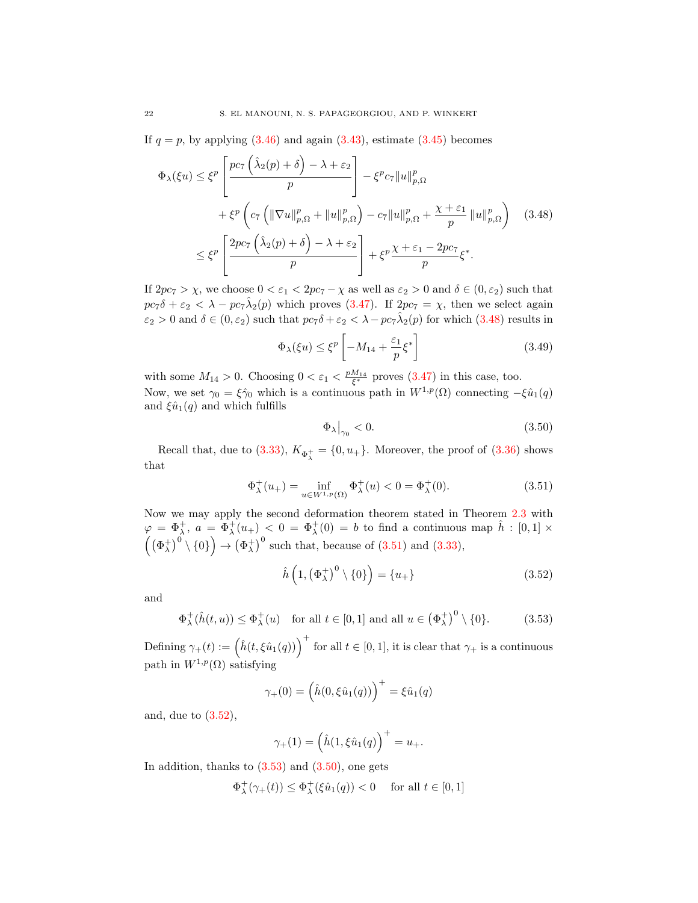If  $q = p$ , by applying  $(3.46)$  and again  $(3.43)$ , estimate  $(3.45)$  becomes

$$
\Phi_{\lambda}(\xi u) \leq \xi^{p} \left[ \frac{pc_{7} \left( \hat{\lambda}_{2}(p) + \delta \right) - \lambda + \varepsilon_{2}}{p} \right] - \xi^{p} c_{7} \|u\|_{p,\Omega}^{p} \n+ \xi^{p} \left( c_{7} \left( \|\nabla u\|_{p,\Omega}^{p} + \|u\|_{p,\Omega}^{p} \right) - c_{7} \|u\|_{p,\Omega}^{p} + \frac{\chi + \varepsilon_{1}}{p} \|u\|_{p,\Omega}^{p} \right) \quad (3.48) \n\leq \xi^{p} \left[ \frac{2pc_{7} \left( \hat{\lambda}_{2}(p) + \delta \right) - \lambda + \varepsilon_{2}}{p} \right] + \xi^{p} \frac{\chi + \varepsilon_{1} - 2pc_{7}}{p} \xi^{*}.
$$

If  $2pc_7 > \chi$ , we choose  $0 < \varepsilon_1 < 2pc_7 - \chi$  as well as  $\varepsilon_2 > 0$  and  $\delta \in (0, \varepsilon_2)$  such that  $pc_7\delta + \varepsilon_2 < \lambda - pc_7\hat{\lambda}_2(p)$  which proves [\(3.47\)](#page-20-4). If  $2pc_7 = \chi$ , then we select again  $\varepsilon_2 > 0$  and  $\delta \in (0, \varepsilon_2)$  such that  $pc_7\delta + \varepsilon_2 < \lambda - pc_7\hat{\lambda}_2(p)$  for which  $(3.48)$  results in

<span id="page-21-0"></span>
$$
\Phi_{\lambda}(\xi u) \le \xi^{p} \left[ -M_{14} + \frac{\varepsilon_{1}}{p} \xi^{*} \right]
$$
\n(3.49)

with some  $M_{14} > 0$ . Choosing  $0 < \varepsilon_1 < \frac{pM_{14}}{\xi^*}$  proves  $(3.47)$  in this case, too. Now, we set  $\gamma_0 = \xi \hat{\gamma}_0$  which is a continuous path in  $W^{1,p}(\Omega)$  connecting  $-\xi \hat{u}_1(q)$ and  $\xi \hat{u}_1(q)$  and which fulfills

<span id="page-21-4"></span><span id="page-21-1"></span>
$$
\Phi_{\lambda}\big|_{\gamma_0} < 0. \tag{3.50}
$$

Recall that, due to [\(3.33\)](#page-17-3),  $K_{\Phi_{\lambda}^{+}} = \{0, u_{+}\}\.$  Moreover, the proof of [\(3.36\)](#page-18-0) shows that

$$
\Phi_{\lambda}^{+}(u_{+}) = \inf_{u \in W^{1,p}(\Omega)} \Phi_{\lambda}^{+}(u) < 0 = \Phi_{\lambda}^{+}(0). \tag{3.51}
$$

Now we may apply the second deformation theorem stated in Theorem [2.3](#page-2-1) with  $\varphi = \Phi_\lambda^+, a = \Phi_\lambda^+(u_+) < 0 = \Phi_\lambda^+(0) = b$  to find a continuous map  $\hat{h} : [0,1] \times$  $(\phi_{\lambda}^{+})^0 \setminus \{0\} \rightarrow (\phi_{\lambda}^{+})^0$  such that, because of [\(3.51\)](#page-21-1) and [\(3.33\)](#page-17-3),

<span id="page-21-3"></span><span id="page-21-2"></span>
$$
\hat{h}\left(1,\left(\Phi_{\lambda}^{+}\right)^{0}\setminus\{0\}\right)=\{u_{+}\}\tag{3.52}
$$

and

$$
\Phi_{\lambda}^{+}(\hat{h}(t,u)) \le \Phi_{\lambda}^{+}(u) \quad \text{for all } t \in [0,1] \text{ and all } u \in (\Phi_{\lambda}^{+})^{0} \setminus \{0\}. \tag{3.53}
$$

Defining  $\gamma_+(t) := \left(\hat{h}(t,\xi\hat{u}_1(q))\right)^+$  for all  $t \in [0,1]$ , it is clear that  $\gamma_+$  is a continuous path in  $W^{1,p}(\Omega)$  satisfying

$$
\gamma_{+}(0) = (\hat{h}(0, \xi \hat{u}_1(q)))^{+} = \xi \hat{u}_1(q)
$$

and, due to [\(3.52\)](#page-21-2),

$$
\gamma_+(1) = \left(\hat{h}(1,\xi \hat{u}_1(q)\right)^+ = u_+.
$$

In addition, thanks to  $(3.53)$  and  $(3.50)$ , one gets

$$
\Phi_{\lambda}^{+}(\gamma_{+}(t)) \le \Phi_{\lambda}^{+}(\xi \hat{u}_{1}(q)) < 0 \quad \text{ for all } t \in [0,1]
$$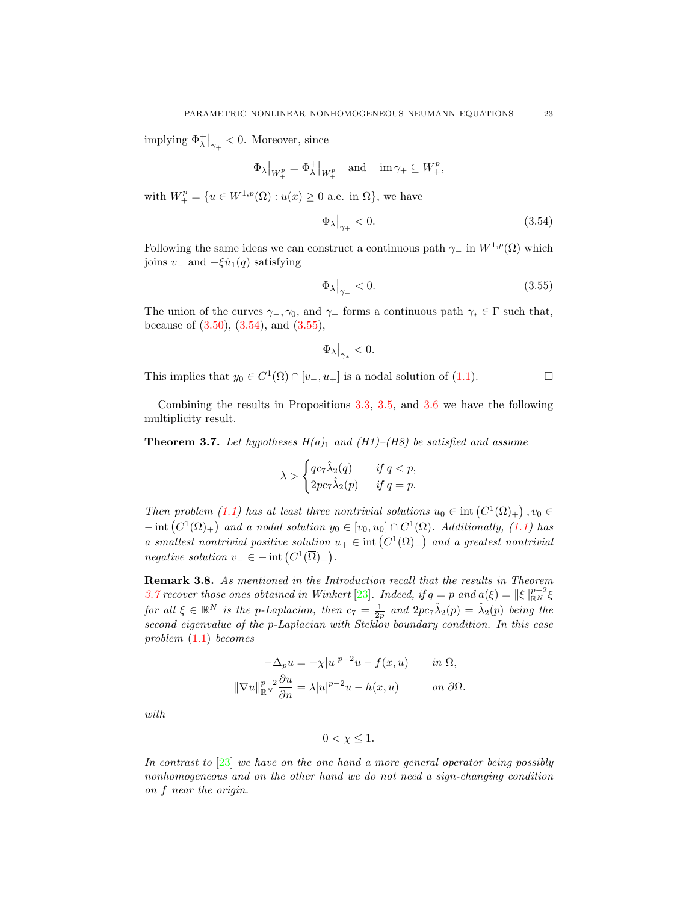implying  $\Phi_{\lambda}^{+}\big|_{\gamma_{+}} < 0$ . Moreover, since

$$
\Phi_\lambda \big|_{W^p_+} = \Phi_\lambda^+ \big|_{W^p_+} \quad \text{and} \quad \mathrm{im} \, \gamma_+ \subseteq W^p_+,
$$

with  $W_+^p = \{u \in W^{1,p}(\Omega) : u(x) \geq 0 \text{ a.e. in } \Omega\}$ , we have

$$
\Phi_{\lambda}\big|_{\gamma+} < 0. \tag{3.54}
$$

Following the same ideas we can construct a continuous path  $\gamma$  in  $W^{1,p}(\Omega)$  which joins  $v_-\text{ and } -\xi \hat{u}_1(q)$  satisfying

$$
\Phi_{\lambda}\big|_{\gamma_-} < 0. \tag{3.55}
$$

The union of the curves  $\gamma_-, \gamma_0$ , and  $\gamma_+$  forms a continuous path  $\gamma_* \in \Gamma$  such that, because of  $(3.50), (3.54), \text{ and } (3.55),$  $(3.50), (3.54), \text{ and } (3.55),$  $(3.50), (3.54), \text{ and } (3.55),$  $(3.50), (3.54), \text{ and } (3.55),$  $(3.50), (3.54), \text{ and } (3.55),$ 

$$
\Phi_\lambda\big|_{\gamma_*}<0.
$$

This implies that  $y_0 \in C^1(\overline{\Omega}) \cap [v_-, u_+]$  is a nodal solution of [\(1.1\)](#page-0-0).

Combining the results in Propositions [3.3,](#page-8-3) [3.5,](#page-14-3) and [3.6](#page-16-4) we have the following multiplicity result.

<span id="page-22-2"></span>**Theorem 3.7.** Let hypotheses  $H(a)_1$  and  $(H1)$ – $(H8)$  be satisfied and assume

$$
\lambda > \begin{cases} qc_7\hat{\lambda}_2(q) & \text{if } q < p, \\ 2pc_7\hat{\lambda}_2(p) & \text{if } q = p. \end{cases}
$$

Then problem [\(1.1\)](#page-0-0) has at least three nontrivial solutions  $u_0 \in \text{int}\left(C^1(\overline{\Omega})_+\right), v_0 \in$  $-\operatorname{int}(C^1(\overline{\Omega})_+)$  and a nodal solution  $y_0 \in [v_0, u_0] \cap C^1(\overline{\Omega})$ . Additionally, [\(1.1\)](#page-0-0) has a smallest nontrivial positive solution  $u_+ \in \text{int}\left(C^1(\overline{\Omega})_+\right)$  and a greatest nontrivial *negative solution*  $v_{-} \in - \text{int} (C^1(\overline{\Omega})_+).$ 

Remark 3.8. As mentioned in the Introduction recall that the results in Theorem [3.7](#page-22-2) recover those ones obtained in Winkert [\[23\]](#page-23-7). Indeed, if  $q = p$  and  $a(\xi) = ||\xi||_{\mathbb{R}^N}^{p-2} \xi$ for all  $\xi \in \mathbb{R}^N$  is the p-Laplacian, then  $c_7 = \frac{1}{2p}$  and  $2pc_7\hat{\lambda}_2(p) = \hat{\lambda}_2(p)$  being the second eigenvalue of the p-Laplacian with Steklov boundary condition. In this case problem [\(1.1\)](#page-0-0) becomes

$$
-\Delta_p u = -\chi |u|^{p-2}u - f(x, u) \quad in \ \Omega,
$$
  

$$
\|\nabla u\|_{\mathbb{R}^N}^{p-2} \frac{\partial u}{\partial n} = \lambda |u|^{p-2}u - h(x, u) \quad on \ \partial \Omega.
$$

with

$$
0 < \chi \leq 1.
$$

In contrast to [\[23\]](#page-23-7) we have on the one hand a more general operator being possibly nonhomogeneous and on the other hand we do not need a sign-changing condition on f near the origin.

<span id="page-22-1"></span><span id="page-22-0"></span>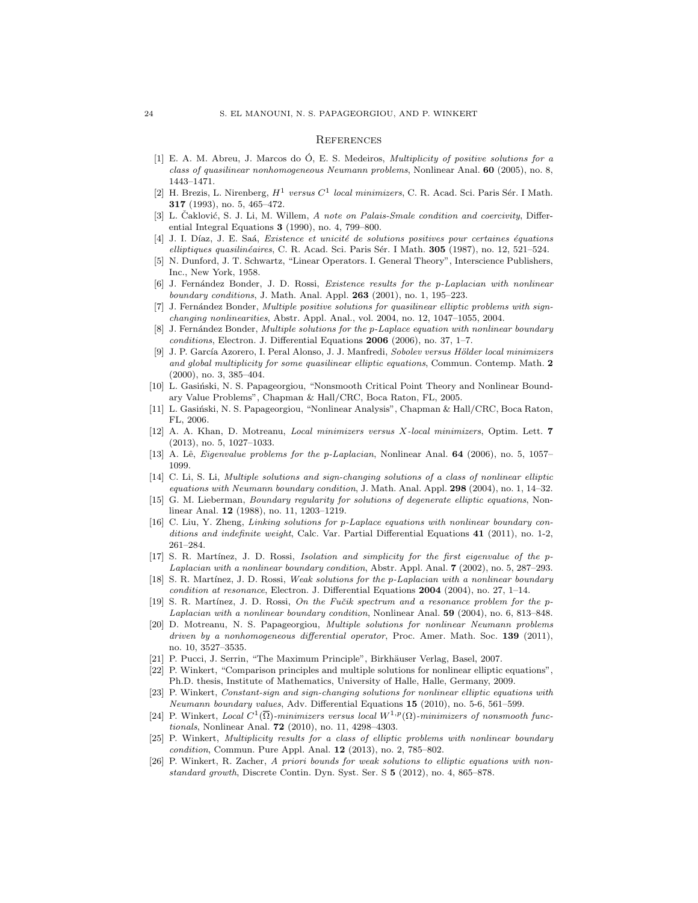#### **REFERENCES**

- <span id="page-23-0"></span>[1] E. A. M. Abreu, J. Marcos do  $\dot{O}$ , E. S. Medeiros, *Multiplicity of positive solutions for a* class of quasilinear nonhomogeneous Neumann problems, Nonlinear Anal. 60 (2005), no. 8, 1443–1471.
- <span id="page-23-10"></span>[2] H. Brezis, L. Nirenberg,  $H^1$  versus  $C^1$  local minimizers, C. R. Acad. Sci. Paris Sér. I Math. 317 (1993), no. 5, 465–472.
- <span id="page-23-19"></span>[3] L. Caklović, S. J. Li, M. Willem, A note on Palais-Smale condition and coercivity, Differential Integral Equations 3 (1990), no. 4, 799–800.
- <span id="page-23-23"></span>[4] J. I. Díaz, J. E. Saá, Existence et unicité de solutions positives pour certaines équations elliptiques quasilinéaires, C. R. Acad. Sci. Paris Sér. I Math. 305 (1987), no. 12, 521–524.
- <span id="page-23-24"></span>[5] N. Dunford, J. T. Schwartz, "Linear Operators. I. General Theory", Interscience Publishers, Inc., New York, 1958.
- <span id="page-23-1"></span>[6] J. Fernández Bonder, J. D. Rossi, Existence results for the p-Laplacian with nonlinear boundary conditions, J. Math. Anal. Appl. 263 (2001), no. 1, 195–223.
- <span id="page-23-2"></span>[7] J. Fernández Bonder, Multiple positive solutions for quasilinear elliptic problems with signchanging nonlinearities, Abstr. Appl. Anal., vol. 2004, no. 12, 1047–1055, 2004.
- <span id="page-23-3"></span>[8] J. Fernández Bonder, Multiple solutions for the p-Laplace equation with nonlinear boundary conditions, Electron. J. Differential Equations 2006 (2006), no. 37, 1–7.
- <span id="page-23-11"></span>[9] J. P. García Azorero, I. Peral Alonso, J. J. Manfredi, Sobolev versus Hölder local minimizers and global multiplicity for some quasilinear elliptic equations, Commun. Contemp. Math. 2 (2000), no. 3, 385–404.
- <span id="page-23-15"></span>[10] L. Gasiński, N. S. Papageorgiou, "Nonsmooth Critical Point Theory and Nonlinear Boundary Value Problems", Chapman & Hall/CRC, Boca Raton, FL, 2005.
- <span id="page-23-9"></span>[11] L. Gasiński, N. S. Papageorgiou, "Nonlinear Analysis", Chapman & Hall/CRC, Boca Raton, FL, 2006.
- <span id="page-23-14"></span>[12] A. A. Khan, D. Motreanu, Local minimizers versus X-local minimizers, Optim. Lett. 7 (2013), no. 5, 1027–1033.
- <span id="page-23-16"></span>[13] A. Lê, *Eigenvalue problems for the p-Laplacian*, Nonlinear Anal. **64** (2006), no. 5, 1057– 1099.
- <span id="page-23-4"></span>[14] C. Li, S. Li, Multiple solutions and sign-changing solutions of a class of nonlinear elliptic equations with Neumann boundary condition, J. Math. Anal. Appl. 298 (2004), no. 1, 14–32.
- <span id="page-23-20"></span>[15] G. M. Lieberman, *Boundary regularity for solutions of degenerate elliptic equations*, Nonlinear Anal. 12 (1988), no. 11, 1203–1219.
- <span id="page-23-5"></span>[16] C. Liu, Y. Zheng, Linking solutions for p-Laplace equations with nonlinear boundary conditions and indefinite weight, Calc. Var. Partial Differential Equations 41 (2011), no. 1-2, 261–284.
- <span id="page-23-17"></span>[17] S. R. Martínez, J. D. Rossi, Isolation and simplicity for the first eigenvalue of the p-Laplacian with a nonlinear boundary condition, Abstr. Appl. Anal. 7 (2002), no. 5, 287–293.
- <span id="page-23-6"></span>[18] S. R. Martínez, J. D. Rossi, Weak solutions for the p-Laplacian with a nonlinear boundary condition at resonance, Electron. J. Differential Equations 2004 (2004), no. 27, 1–14.
- <span id="page-23-18"></span>[19] S. R. Martínez, J. D. Rossi, On the Fučik spectrum and a resonance problem for the p-Laplacian with a nonlinear boundary condition, Nonlinear Anal. 59 (2004), no. 6, 813–848.
- <span id="page-23-12"></span>[20] D. Motreanu, N. S. Papageorgiou, Multiple solutions for nonlinear Neumann problems driven by a nonhomogeneous differential operator, Proc. Amer. Math. Soc. 139 (2011), no. 10, 3527–3535.
- <span id="page-23-22"></span>[21] P. Pucci, J. Serrin, "The Maximum Principle", Birkhäuser Verlag, Basel, 2007.
- <span id="page-23-25"></span>[22] P. Winkert, "Comparison principles and multiple solutions for nonlinear elliptic equations", Ph.D. thesis, Institute of Mathematics, University of Halle, Halle, Germany, 2009.
- <span id="page-23-7"></span>[23] P. Winkert, Constant-sign and sign-changing solutions for nonlinear elliptic equations with Neumann boundary values, Adv. Differential Equations 15 (2010), no. 5-6, 561–599.
- <span id="page-23-13"></span>[24] P. Winkert, Local  $C^1(\overline{\Omega})$ -minimizers versus local  $W^{1,p}(\Omega)$ -minimizers of nonsmooth functionals, Nonlinear Anal. 72 (2010), no. 11, 4298–4303.
- <span id="page-23-8"></span>[25] P. Winkert, Multiplicity results for a class of elliptic problems with nonlinear boundary condition, Commun. Pure Appl. Anal. 12 (2013), no. 2, 785–802.
- <span id="page-23-21"></span>[26] P. Winkert, R. Zacher, A priori bounds for weak solutions to elliptic equations with nonstandard growth, Discrete Contin. Dyn. Syst. Ser. S 5 (2012), no. 4, 865–878.